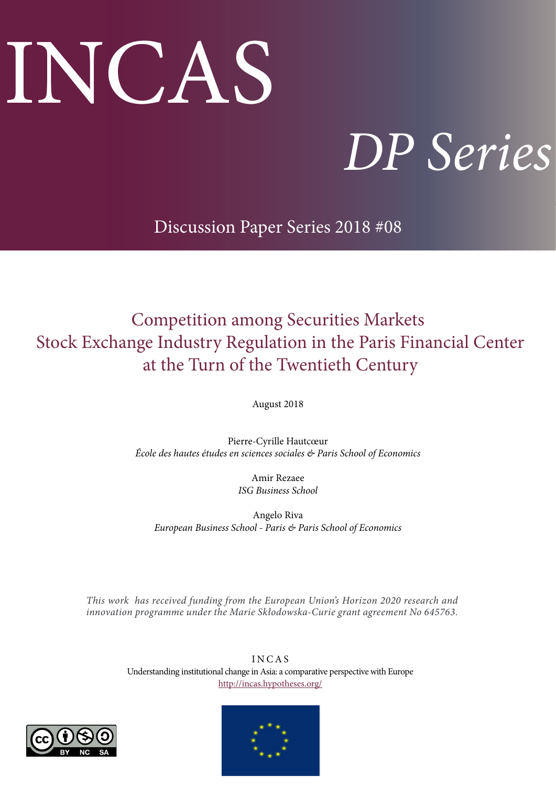# INCAS

# *DP Series*

Discussion Paper Series 2018 #08

# Competition among Securities Markets Stock Exchange Industry Regulation in the Paris Financial Center at the Turn of the Twentieth Century

August 2018

Pierre-Cyrille Hautcœur *École des hautes études en sciences sociales & Paris School of Economics*

> Amir Rezaee *ISG Business School*

Angelo Riva *European Business School - Paris & Paris School of Economics* 

*This work has received funding from the European Union's Horizon 2020 research and innovation programme under the Marie Skłodowska-Curie grant agreement No 645763.*

> I N C A S Understanding institutional change in Asia: a comparative perspective with Europe <http://incas.hypotheses.org/>



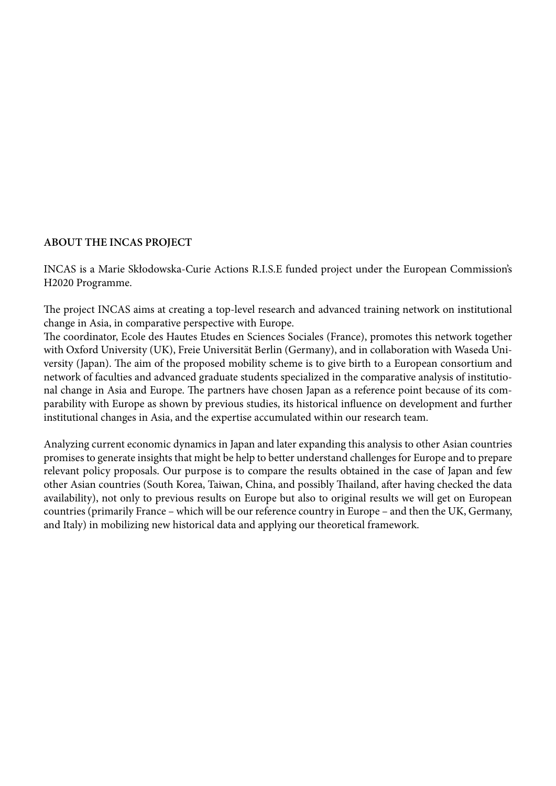### **ABOUT THE INCAS PROJECT**

INCAS is a Marie Skłodowska-Curie Actions R.I.S.E funded project under the European Commission's H2020 Programme.

The project INCAS aims at creating a top-level research and advanced training network on institutional change in Asia, in comparative perspective with Europe.

The coordinator, Ecole des Hautes Etudes en Sciences Sociales (France), promotes this network together with Oxford University (UK), Freie Universität Berlin (Germany), and in collaboration with Waseda University (Japan). The aim of the proposed mobility scheme is to give birth to a European consortium and network of faculties and advanced graduate students specialized in the comparative analysis of institutional change in Asia and Europe. The partners have chosen Japan as a reference point because of its comparability with Europe as shown by previous studies, its historical influence on development and further institutional changes in Asia, and the expertise accumulated within our research team.

Analyzing current economic dynamics in Japan and later expanding this analysis to other Asian countries promises to generate insights that might be help to better understand challenges for Europe and to prepare relevant policy proposals. Our purpose is to compare the results obtained in the case of Japan and few other Asian countries (South Korea, Taiwan, China, and possibly Thailand, after having checked the data availability), not only to previous results on Europe but also to original results we will get on European countries (primarily France – which will be our reference country in Europe – and then the UK, Germany, and Italy) in mobilizing new historical data and applying our theoretical framework.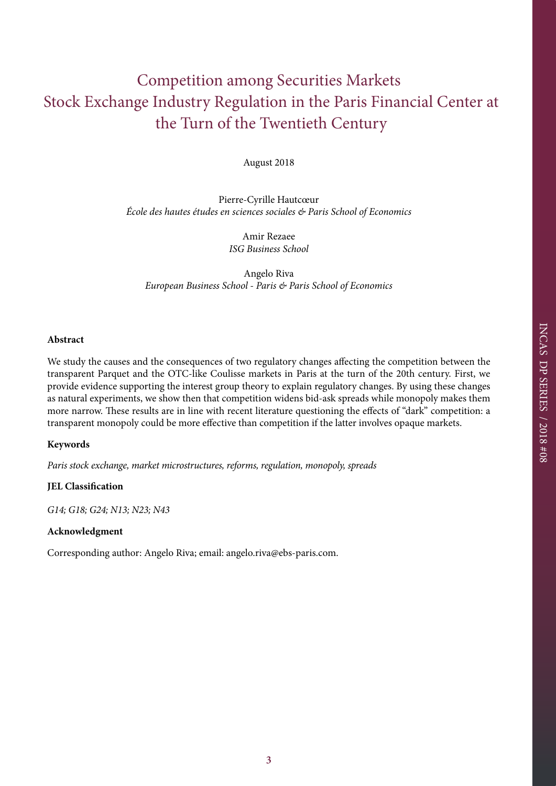# Competition among Securities Markets Stock Exchange Industry Regulation in the Paris Financial Center at the Turn of the Twentieth Century

August 2018

Pierre-Cyrille Hautcœur *École des hautes études en sciences sociales & Paris School of Economics*

> Amir Rezaee *ISG Business School*

Angelo Riva *European Business School - Paris & Paris School of Economics* 

#### **Abstract**

We study the causes and the consequences of two regulatory changes affecting the competition between the transparent Parquet and the OTC-like Coulisse markets in Paris at the turn of the 20th century. First, we provide evidence supporting the interest group theory to explain regulatory changes. By using these changes as natural experiments, we show then that competition widens bid-ask spreads while monopoly makes them more narrow. These results are in line with recent literature questioning the effects of "dark" competition: a transparent monopoly could be more effective than competition if the latter involves opaque markets.

#### **Keywords**

*Paris stock exchange, market microstructures, reforms, regulation, monopoly, spreads*

#### **JEL Classification**

*G14; G18; G24; N13; N23; N43*

#### **Acknowledgment**

Corresponding author: Angelo Riva; email: angelo.riva@ebs-paris.com.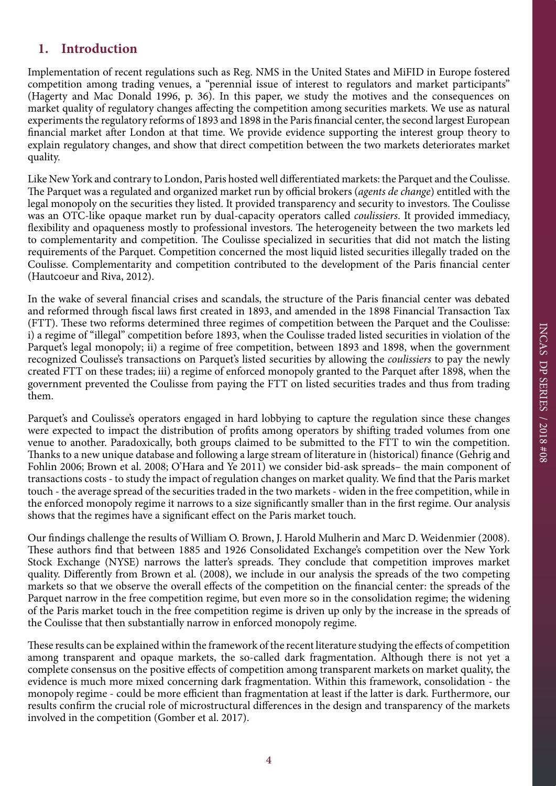# **1. Introduction**

Implementation of recent regulations such as Reg. NMS in the United States and MiFID in Europe fostered competition among trading venues, a "perennial issue of interest to regulators and market participants" (Hagerty and Mac Donald 1996, p. 36). In this paper, we study the motives and the consequences on market quality of regulatory changes affecting the competition among securities markets. We use as natural experiments the regulatory reforms of 1893 and 1898 in the Paris financial center, the second largest European financial market after London at that time. We provide evidence supporting the interest group theory to explain regulatory changes, and show that direct competition between the two markets deteriorates market quality.

Like New York and contrary to London, Paris hosted well differentiated markets: the Parquet and the Coulisse. The Parquet was a regulated and organized market run by official brokers (*agents de change*) entitled with the legal monopoly on the securities they listed. It provided transparency and security to investors. The Coulisse was an OTC-like opaque market run by dual-capacity operators called *coulissiers*. It provided immediacy, flexibility and opaqueness mostly to professional investors. The heterogeneity between the two markets led to complementarity and competition. The Coulisse specialized in securities that did not match the listing requirements of the Parquet. Competition concerned the most liquid listed securities illegally traded on the Coulisse. Complementarity and competition contributed to the development of the Paris financial center (Hautcoeur and Riva, 2012).

In the wake of several financial crises and scandals, the structure of the Paris financial center was debated and reformed through fiscal laws first created in 1893, and amended in the 1898 Financial Transaction Tax (FTT). These two reforms determined three regimes of competition between the Parquet and the Coulisse: i) a regime of "illegal" competition before 1893, when the Coulisse traded listed securities in violation of the Parquet's legal monopoly; ii) a regime of free competition, between 1893 and 1898, when the government recognized Coulisse's transactions on Parquet's listed securities by allowing the *coulissiers* to pay the newly created FTT on these trades; iii) a regime of enforced monopoly granted to the Parquet after 1898, when the government prevented the Coulisse from paying the FTT on listed securities trades and thus from trading them.

Parquet's and Coulisse's operators engaged in hard lobbying to capture the regulation since these changes were expected to impact the distribution of profits among operators by shifting traded volumes from one venue to another. Paradoxically, both groups claimed to be submitted to the FTT to win the competition. Thanks to a new unique database and following a large stream of literature in (historical) finance (Gehrig and Fohlin 2006; Brown et al. 2008; O'Hara and Ye 2011) we consider bid-ask spreads– the main component of transactions costs - to study the impact of regulation changes on market quality. We find that the Paris market touch - the average spread of the securities traded in the two markets - widen in the free competition, while in the enforced monopoly regime it narrows to a size significantly smaller than in the first regime. Our analysis shows that the regimes have a significant effect on the Paris market touch.

Our findings challenge the results of William O. Brown, J. Harold Mulherin and Marc D. Weidenmier (2008). These authors find that between 1885 and 1926 Consolidated Exchange's competition over the New York Stock Exchange (NYSE) narrows the latter's spreads. They conclude that competition improves market quality. Differently from Brown et al. (2008), we include in our analysis the spreads of the two competing markets so that we observe the overall effects of the competition on the financial center: the spreads of the Parquet narrow in the free competition regime, but even more so in the consolidation regime; the widening of the Paris market touch in the free competition regime is driven up only by the increase in the spreads of the Coulisse that then substantially narrow in enforced monopoly regime.

These results can be explained within the framework of the recent literature studying the effects of competition among transparent and opaque markets, the so-called dark fragmentation. Although there is not yet a complete consensus on the positive effects of competition among transparent markets on market quality, the evidence is much more mixed concerning dark fragmentation. Within this framework, consolidation - the monopoly regime - could be more efficient than fragmentation at least if the latter is dark. Furthermore, our results confirm the crucial role of microstructural differences in the design and transparency of the markets involved in the competition (Gomber et al. 2017).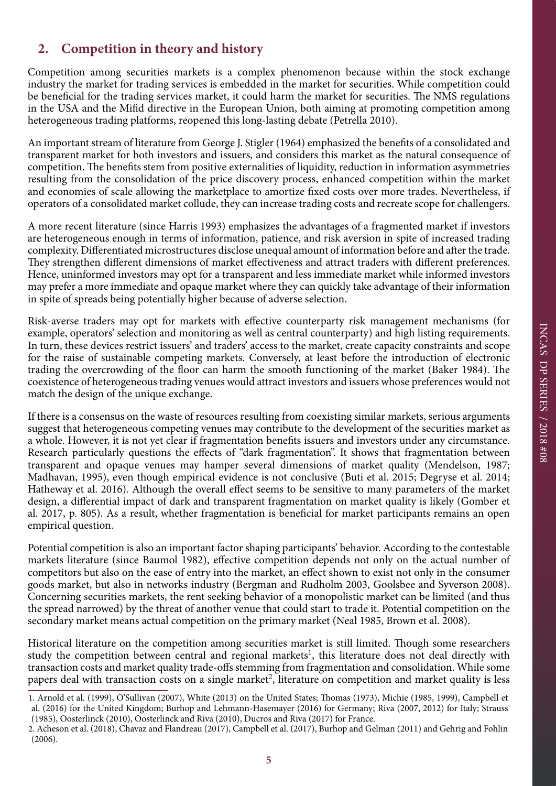# **2. Competition in theory and history**

Competition among securities markets is a complex phenomenon because within the stock exchange industry the market for trading services is embedded in the market for securities. While competition could be beneficial for the trading services market, it could harm the market for securities. The NMS regulations in the USA and the Mifid directive in the European Union, both aiming at promoting competition among heterogeneous trading platforms, reopened this long-lasting debate (Petrella 2010).

An important stream of literature from George J. Stigler (1964) emphasized the benefits of a consolidated and transparent market for both investors and issuers, and considers this market as the natural consequence of competition. The benefits stem from positive externalities of liquidity, reduction in information asymmetries resulting from the consolidation of the price discovery process, enhanced competition within the market and economies of scale allowing the marketplace to amortize fixed costs over more trades. Nevertheless, if operators of a consolidated market collude, they can increase trading costs and recreate scope for challengers.

A more recent literature (since Harris 1993) emphasizes the advantages of a fragmented market if investors are heterogeneous enough in terms of information, patience, and risk aversion in spite of increased trading complexity. Differentiated microstructures disclose unequal amount of information before and after the trade. They strengthen different dimensions of market effectiveness and attract traders with different preferences. Hence, uninformed investors may opt for a transparent and less immediate market while informed investors may prefer a more immediate and opaque market where they can quickly take advantage of their information in spite of spreads being potentially higher because of adverse selection.

Risk-averse traders may opt for markets with effective counterparty risk management mechanisms (for example, operators' selection and monitoring as well as central counterparty) and high listing requirements. In turn, these devices restrict issuers' and traders' access to the market, create capacity constraints and scope for the raise of sustainable competing markets. Conversely, at least before the introduction of electronic trading the overcrowding of the floor can harm the smooth functioning of the market (Baker 1984). The coexistence of heterogeneous trading venues would attract investors and issuers whose preferences would not match the design of the unique exchange.

If there is a consensus on the waste of resources resulting from coexisting similar markets, serious arguments suggest that heterogeneous competing venues may contribute to the development of the securities market as a whole. However, it is not yet clear if fragmentation benefits issuers and investors under any circumstance. Research particularly questions the effects of "dark fragmentation". It shows that fragmentation between transparent and opaque venues may hamper several dimensions of market quality (Mendelson, 1987; Madhavan, 1995), even though empirical evidence is not conclusive (Buti et al. 2015; Degryse et al. 2014; Hatheway et al. 2016). Although the overall effect seems to be sensitive to many parameters of the market design, a differential impact of dark and transparent fragmentation on market quality is likely (Gomber et al. 2017, p. 805). As a result, whether fragmentation is beneficial for market participants remains an open empirical question.

Potential competition is also an important factor shaping participants' behavior. According to the contestable markets literature (since Baumol 1982), effective competition depends not only on the actual number of competitors but also on the ease of entry into the market, an effect shown to exist not only in the consumer goods market, but also in networks industry (Bergman and Rudholm 2003, Goolsbee and Syverson 2008). Concerning securities markets, the rent seeking behavior of a monopolistic market can be limited (and thus the spread narrowed) by the threat of another venue that could start to trade it. Potential competition on the secondary market means actual competition on the primary market (Neal 1985, Brown et al. 2008).

Historical literature on the competition among securities market is still limited. Though some researchers study the competition between central and regional markets<sup>1</sup>, this literature does not deal directly with transaction costs and market quality trade-offs stemming from fragmentation and consolidation. While some papers deal with transaction costs on a single market<sup>2</sup>, literature on competition and market quality is less

<sup>1.</sup> Arnold et al. (1999), O'Sullivan (2007), White (2013) on the United States; Thomas (1973), Michie (1985, 1999), Campbell et al. (2016) for the United Kingdom; Burhop and Lehmann-Hasemayer (2016) for Germany; Riva (2007, 2012) for Italy; Strauss (1985), Oosterlinck (2010), Oosterlinck and Riva (2010), Ducros and Riva (2017) for France.

<sup>2.</sup> Acheson et al. (2018), Chavaz and Flandreau (2017), Campbell et al. (2017), Burhop and Gelman (2011) and Gehrig and Fohlin (2006).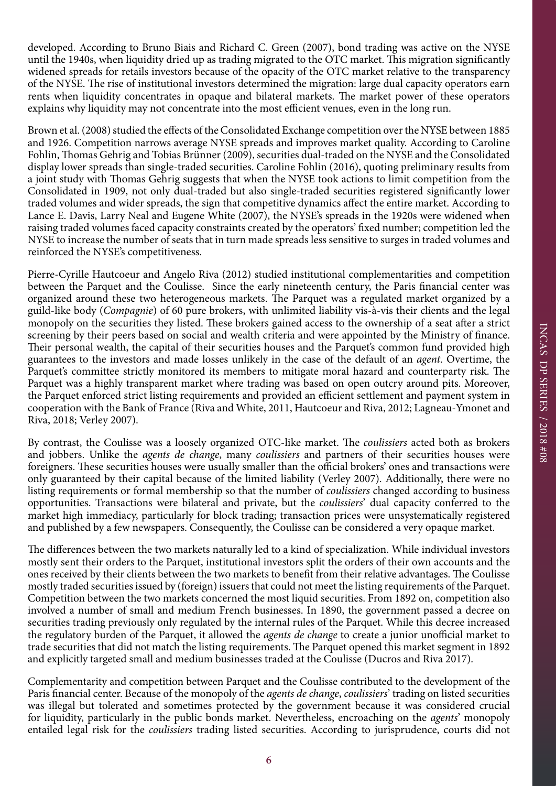developed. According to Bruno Biais and Richard C. Green (2007), bond trading was active on the NYSE until the 1940s, when liquidity dried up as trading migrated to the OTC market. This migration significantly widened spreads for retails investors because of the opacity of the OTC market relative to the transparency of the NYSE. The rise of institutional investors determined the migration: large dual capacity operators earn rents when liquidity concentrates in opaque and bilateral markets. The market power of these operators explains why liquidity may not concentrate into the most efficient venues, even in the long run.

Brown et al. (2008) studied the effects of the Consolidated Exchange competition over the NYSE between 1885 and 1926. Competition narrows average NYSE spreads and improves market quality. According to Caroline Fohlin, Thomas Gehrig and Tobias Brünner (2009), securities dual-traded on the NYSE and the Consolidated display lower spreads than single-traded securities. Caroline Fohlin (2016), quoting preliminary results from a joint study with Thomas Gehrig suggests that when the NYSE took actions to limit competition from the Consolidated in 1909, not only dual-traded but also single-traded securities registered significantly lower traded volumes and wider spreads, the sign that competitive dynamics affect the entire market. According to Lance E. Davis, Larry Neal and Eugene White (2007), the NYSE's spreads in the 1920s were widened when raising traded volumes faced capacity constraints created by the operators' fixed number; competition led the NYSE to increase the number of seats that in turn made spreads less sensitive to surges in traded volumes and reinforced the NYSE's competitiveness.

Pierre-Cyrille Hautcoeur and Angelo Riva (2012) studied institutional complementarities and competition between the Parquet and the Coulisse. Since the early nineteenth century, the Paris financial center was organized around these two heterogeneous markets. The Parquet was a regulated market organized by a guild-like body (*Compagnie*) of 60 pure brokers, with unlimited liability vis-à-vis their clients and the legal monopoly on the securities they listed. These brokers gained access to the ownership of a seat after a strict screening by their peers based on social and wealth criteria and were appointed by the Ministry of finance. Their personal wealth, the capital of their securities houses and the Parquet's common fund provided high guarantees to the investors and made losses unlikely in the case of the default of an *agent*. Overtime, the Parquet's committee strictly monitored its members to mitigate moral hazard and counterparty risk. The Parquet was a highly transparent market where trading was based on open outcry around pits. Moreover, the Parquet enforced strict listing requirements and provided an efficient settlement and payment system in cooperation with the Bank of France (Riva and White, 2011, Hautcoeur and Riva, 2012; Lagneau-Ymonet and Riva, 2018; Verley 2007).

By contrast, the Coulisse was a loosely organized OTC-like market. The *coulissiers* acted both as brokers and jobbers. Unlike the *agents de change*, many *coulissiers* and partners of their securities houses were foreigners. These securities houses were usually smaller than the official brokers' ones and transactions were only guaranteed by their capital because of the limited liability (Verley 2007). Additionally, there were no listing requirements or formal membership so that the number of *coulissiers* changed according to business opportunities. Transactions were bilateral and private, but the *coulissiers*' dual capacity conferred to the market high immediacy, particularly for block trading; transaction prices were unsystematically registered and published by a few newspapers. Consequently, the Coulisse can be considered a very opaque market.

The differences between the two markets naturally led to a kind of specialization. While individual investors mostly sent their orders to the Parquet, institutional investors split the orders of their own accounts and the ones received by their clients between the two markets to benefit from their relative advantages. The Coulisse mostly traded securities issued by (foreign) issuers that could not meet the listing requirements of the Parquet. Competition between the two markets concerned the most liquid securities. From 1892 on, competition also involved a number of small and medium French businesses. In 1890, the government passed a decree on securities trading previously only regulated by the internal rules of the Parquet. While this decree increased the regulatory burden of the Parquet, it allowed the *agents de change* to create a junior unofficial market to trade securities that did not match the listing requirements. The Parquet opened this market segment in 1892 and explicitly targeted small and medium businesses traded at the Coulisse (Ducros and Riva 2017).

Complementarity and competition between Parquet and the Coulisse contributed to the development of the Paris financial center. Because of the monopoly of the *agents de change*, *coulissiers*' trading on listed securities was illegal but tolerated and sometimes protected by the government because it was considered crucial for liquidity, particularly in the public bonds market. Nevertheless, encroaching on the *agents*' monopoly entailed legal risk for the *coulissiers* trading listed securities. According to jurisprudence, courts did not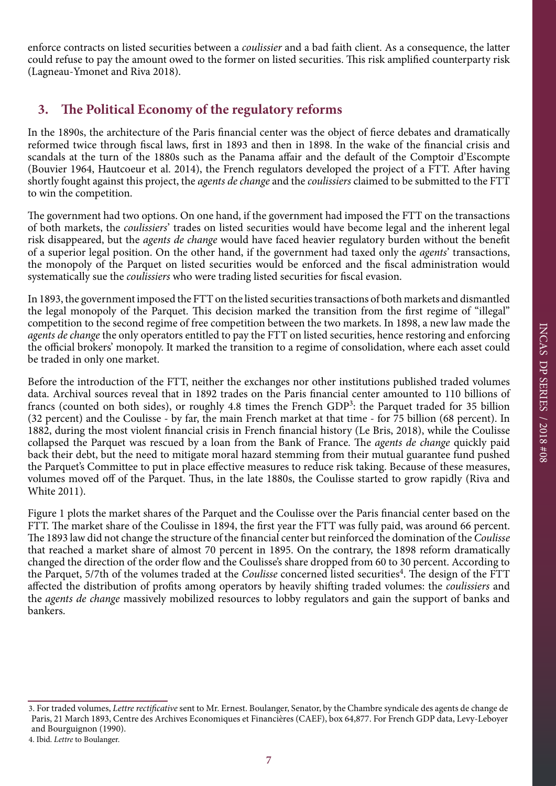enforce contracts on listed securities between a *coulissier* and a bad faith client. As a consequence, the latter could refuse to pay the amount owed to the former on listed securities. This risk amplified counterparty risk (Lagneau-Ymonet and Riva 2018).

# **3. The Political Economy of the regulatory reforms**

In the 1890s, the architecture of the Paris financial center was the object of fierce debates and dramatically reformed twice through fiscal laws, first in 1893 and then in 1898. In the wake of the financial crisis and scandals at the turn of the 1880s such as the Panama affair and the default of the Comptoir d'Escompte (Bouvier 1964, Hautcoeur et al. 2014), the French regulators developed the project of a FTT. After having shortly fought against this project, the *agents de change* and the *coulissiers* claimed to be submitted to the FTT to win the competition.

The government had two options. On one hand, if the government had imposed the FTT on the transactions of both markets, the *coulissiers*' trades on listed securities would have become legal and the inherent legal risk disappeared, but the *agents de change* would have faced heavier regulatory burden without the benefit of a superior legal position. On the other hand, if the government had taxed only the *agents*' transactions, the monopoly of the Parquet on listed securities would be enforced and the fiscal administration would systematically sue the *coulissiers* who were trading listed securities for fiscal evasion.

In 1893, the government imposed the FTT on the listed securities transactions of both markets and dismantled the legal monopoly of the Parquet. This decision marked the transition from the first regime of "illegal" competition to the second regime of free competition between the two markets. In 1898, a new law made the *agents de change* the only operators entitled to pay the FTT on listed securities, hence restoring and enforcing the official brokers' monopoly. It marked the transition to a regime of consolidation, where each asset could be traded in only one market.

Before the introduction of the FTT, neither the exchanges nor other institutions published traded volumes data. Archival sources reveal that in 1892 trades on the Paris financial center amounted to 110 billions of francs (counted on both sides), or roughly 4.8 times the French GDP<sup>3</sup>: the Parquet traded for 35 billion (32 percent) and the Coulisse - by far, the main French market at that time - for 75 billion (68 percent). In 1882, during the most violent financial crisis in French financial history (Le Bris, 2018), while the Coulisse collapsed the Parquet was rescued by a loan from the Bank of France. The *agents de change* quickly paid back their debt, but the need to mitigate moral hazard stemming from their mutual guarantee fund pushed the Parquet's Committee to put in place effective measures to reduce risk taking. Because of these measures, volumes moved off of the Parquet. Thus, in the late 1880s, the Coulisse started to grow rapidly (Riva and White 2011).

Figure 1 plots the market shares of the Parquet and the Coulisse over the Paris financial center based on the FTT. The market share of the Coulisse in 1894, the first year the FTT was fully paid, was around 66 percent. The 1893 law did not change the structure of the financial center but reinforced the domination of the *Coulisse* that reached a market share of almost 70 percent in 1895. On the contrary, the 1898 reform dramatically changed the direction of the order flow and the Coulisse's share dropped from 60 to 30 percent. According to the Parquet, 5/7th of the volumes traded at the *Coulisse* concerned listed securities<sup>4</sup>. The design of the FTT affected the distribution of profits among operators by heavily shifting traded volumes: the *coulissiers* and the *agents de change* massively mobilized resources to lobby regulators and gain the support of banks and bankers.

<sup>3.</sup> For traded volumes, *Lettre rectificative* sent to Mr. Ernest. Boulanger, Senator, by the Chambre syndicale des agents de change de Paris, 21 March 1893, Centre des Archives Economiques et Financières (CAEF), box 64,877. For French GDP data, Levy-Leboyer and Bourguignon (1990).

<sup>4.</sup> Ibid. *Lettre* to Boulanger.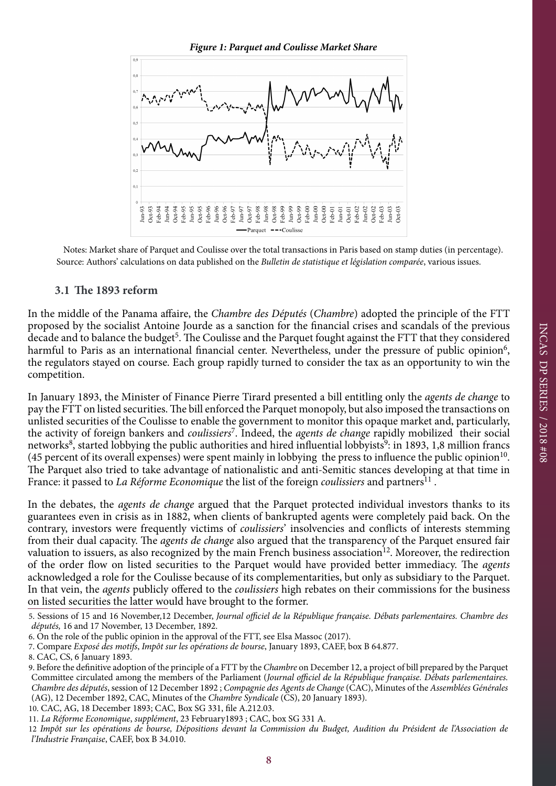

Notes: Market share of Parquet and Coulisse over the total transactions in Paris based on stamp duties (in percentage). Source: Authors' calculations on data published on the *Bulletin de statistique et législation comparée*, various issues.

#### **3.1 The 1893 reform**

In the middle of the Panama affaire, the *Chambre des Députés* (*Chambre*) adopted the principle of the FTT proposed by the socialist Antoine Jourde as a sanction for the financial crises and scandals of the previous decade and to balance the budget<sup>5</sup>. The Coulisse and the Parquet fought against the FTT that they considered harmful to Paris as an international financial center. Nevertheless, under the pressure of public opinion<sup>6</sup>, the regulators stayed on course. Each group rapidly turned to consider the tax as an opportunity to win the competition.

In January 1893, the Minister of Finance Pierre Tirard presented a bill entitling only the *agents de change* to pay the FTT on listed securities. The bill enforced the Parquet monopoly, but also imposed the transactions on unlisted securities of the Coulisse to enable the government to monitor this opaque market and, particularly, the activity of foreign bankers and *coulissiers*7. Indeed, the *agents de change* rapidly mobilized their social networks<sup>8</sup>, started lobbying the public authorities and hired influential lobbyists<sup>9</sup>: in 1893, 1,8 million francs (45 percent of its overall expenses) were spent mainly in lobbying the press to influence the public opinion<sup>10</sup>. The Parquet also tried to take advantage of nationalistic and anti-Semitic stances developing at that time in France: it passed to *La Réforme Economique* the list of the foreign *coulissiers* and partners<sup>11</sup>.

In the debates, the *agents de change* argued that the Parquet protected individual investors thanks to its guarantees even in crisis as in 1882, when clients of bankrupted agents were completely paid back. On the contrary, investors were frequently victims of *coulissiers*' insolvencies and conflicts of interests stemming from their dual capacity. The *agents de change* also argued that the transparency of the Parquet ensured fair valuation to issuers, as also recognized by the main French business association<sup>12</sup>. Moreover, the redirection of the order flow on listed securities to the Parquet would have provided better immediacy. The *agents*  acknowledged a role for the Coulisse because of its complementarities, but only as subsidiary to the Parquet. In that vein, the *agents* publicly offered to the *coulissiers* high rebates on their commissions for the business on listed securities the latter would have brought to the former.

<sup>5.</sup> Sessions of 15 and 16 November,12 December, *Journal officiel de la République française. Débats parlementaires. Chambre des députés,* 16 and 17 November, 13 December, 1892.

<sup>6.</sup> On the role of the public opinion in the approval of the FTT, see Elsa Massoc (2017).

<sup>7.</sup> Compare *Exposé des motifs*, *Impôt sur les opérations de bourse*, January 1893, CAEF, box B 64.877.

<sup>8.</sup> CAC, CS, 6 January 1893.

<sup>9.</sup> Before the definitive adoption of the principle of a FTT by the *Chambre* on December 12, a project of bill prepared by the Parquet Committee circulated among the members of the Parliament (*Journal officiel de la République française. Débats parlementaires. Chambre des députés*, session of 12 December 1892 ; *Compagnie des Agents de Change* (CAC), Minutes of the *Assemblées Générales* (AG), 12 December 1892, CAC, Minutes of the *Chambre Syndicale* (CS), 20 January 1893).

<sup>10.</sup> CAC, AG, 18 December 1893; CAC, Box SG 331, file A.212.03.

<sup>11.</sup> *La Réforme Economique*, *supplément*, 23 February1893 ; CAC, box SG 331 A.

<sup>12</sup> *Impôt sur les opérations de bourse, Dépositions devant la Commission du Budget, Audition du Président de l'Association de l'Industrie Française*, CAEF, box B 34.010.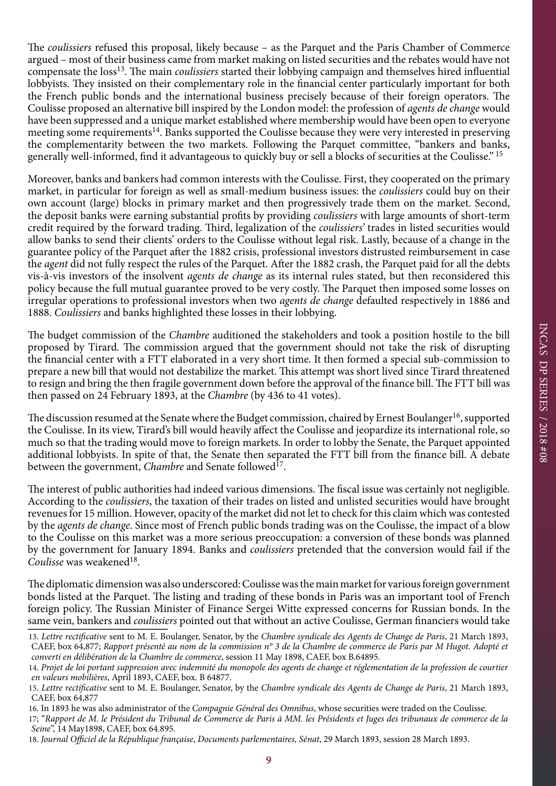The *coulissiers* refused this proposal, likely because – as the Parquet and the Paris Chamber of Commerce argued – most of their business came from market making on listed securities and the rebates would have not compensate the loss<sup>13</sup>. The main *coulissiers* started their lobbying campaign and themselves hired influential lobbyists. They insisted on their complementary role in the financial center particularly important for both the French public bonds and the international business precisely because of their foreign operators. The Coulisse proposed an alternative bill inspired by the London model: the profession of *agents de change* would have been suppressed and a unique market established where membership would have been open to everyone meeting some requirements<sup>14</sup>. Banks supported the Coulisse because they were very interested in preserving the complementarity between the two markets. Following the Parquet committee, "bankers and banks, generally well-informed, find it advantageous to quickly buy or sell a blocks of securities at the Coulisse." 15

Moreover, banks and bankers had common interests with the Coulisse. First, they cooperated on the primary market, in particular for foreign as well as small-medium business issues: the *coulissiers* could buy on their own account (large) blocks in primary market and then progressively trade them on the market. Second, the deposit banks were earning substantial profits by providing *coulissiers* with large amounts of short-term credit required by the forward trading. Third, legalization of the *coulissiers'* trades in listed securities would allow banks to send their clients' orders to the Coulisse without legal risk. Lastly, because of a change in the guarantee policy of the Parquet after the 1882 crisis, professional investors distrusted reimbursement in case the *agent* did not fully respect the rules of the Parquet. After the 1882 crash, the Parquet paid for all the debts vis-à-vis investors of the insolvent *agents de change* as its internal rules stated, but then reconsidered this policy because the full mutual guarantee proved to be very costly. The Parquet then imposed some losses on irregular operations to professional investors when two *agents de change* defaulted respectively in 1886 and 1888. *Coulissiers* and banks highlighted these losses in their lobbying.

The budget commission of the *Chambre* auditioned the stakeholders and took a position hostile to the bill proposed by Tirard. The commission argued that the government should not take the risk of disrupting the financial center with a FTT elaborated in a very short time. It then formed a special sub-commission to prepare a new bill that would not destabilize the market. This attempt was short lived since Tirard threatened to resign and bring the then fragile government down before the approval of the finance bill. The FTT bill was then passed on 24 February 1893, at the *Chambre* (by 436 to 41 votes).

The discussion resumed at the Senate where the Budget commission, chaired by Ernest Boulanger<sup>16</sup>, supported the Coulisse. In its view, Tirard's bill would heavily affect the Coulisse and jeopardize its international role, so much so that the trading would move to foreign markets. In order to lobby the Senate, the Parquet appointed additional lobbyists. In spite of that, the Senate then separated the FTT bill from the finance bill. A debate between the government, *Chambre* and Senate followed<sup>17</sup>.

The interest of public authorities had indeed various dimensions. The fiscal issue was certainly not negligible. According to the *coulissiers*, the taxation of their trades on listed and unlisted securities would have brought revenues for 15 million. However, opacity of the market did not let to check for this claim which was contested by the *agents de change*. Since most of French public bonds trading was on the Coulisse, the impact of a blow to the Coulisse on this market was a more serious preoccupation: a conversion of these bonds was planned by the government for January 1894. Banks and *coulissiers* pretended that the conversion would fail if the Coulisse was weakened<sup>18</sup>.

The diplomatic dimension was also underscored: Coulisse was the main market for various foreign government bonds listed at the Parquet. The listing and trading of these bonds in Paris was an important tool of French foreign policy. The Russian Minister of Finance Sergei Witte expressed concerns for Russian bonds. In the same vein, bankers and *coulissiers* pointed out that without an active Coulisse, German financiers would take

<sup>13.</sup> *Lettre rectificative* sent to M. E. Boulanger, Senator, by the *Chambre syndicale des Agents de Change de Paris*, 21 March 1893, CAEF, box 64,877; *Rapport présenté au nom de la commission n° 3 de la Chambre de commerce de Paris par M Hugot. Adopté et converti en délibération de la Chambre de commerce*, session 11 May 1898, CAEF, box B.64895.

<sup>14.</sup> *Projet de loi portant suppression avec indemnité du monopole des agents de change et réglementation de la profession de courtier en valeurs mobilières*, April 1893, CAEF, box. B 64877.

<sup>15.</sup> *Lettre rectificative* sent to M. E. Boulanger, Senator, by the *Chambre syndicale des Agents de Change de Paris*, 21 March 1893, CAEF, box 64,877

<sup>16.</sup> In 1893 he was also administrator of the *Compagnie Général des Omnibus*, whose securities were traded on the Coulisse.

<sup>17; &</sup>quot;*Rapport de M. le Président du Tribunal de Commerce de Paris à MM. les Présidents et Juges des tribunaux de commerce de la Seine*", 14 May1898, CAEF, box 64.895.

<sup>18.</sup> *Journal Officiel de la République française*, *Documents parlementaires, Sénat*, 29 March 1893, session 28 March 1893.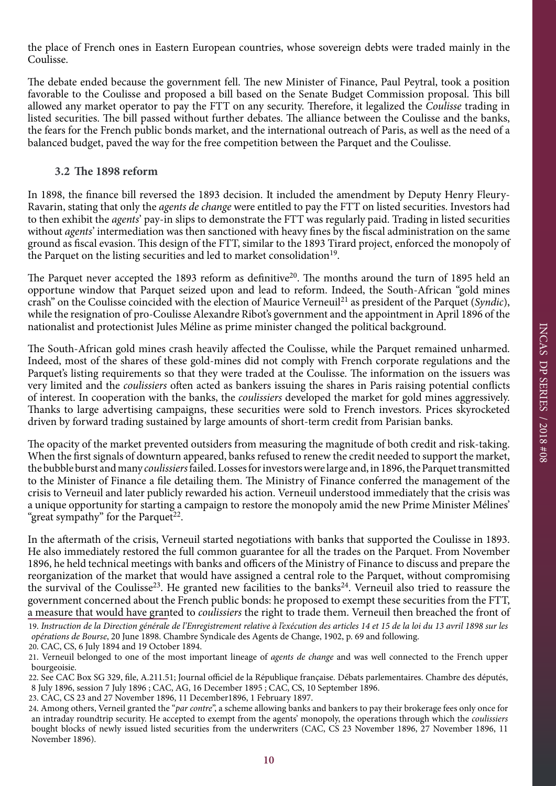the place of French ones in Eastern European countries, whose sovereign debts were traded mainly in the Coulisse.

The debate ended because the government fell. The new Minister of Finance, Paul Peytral, took a position favorable to the Coulisse and proposed a bill based on the Senate Budget Commission proposal. This bill allowed any market operator to pay the FTT on any security. Therefore, it legalized the *Coulisse* trading in listed securities. The bill passed without further debates. The alliance between the Coulisse and the banks, the fears for the French public bonds market, and the international outreach of Paris, as well as the need of a balanced budget, paved the way for the free competition between the Parquet and the Coulisse.

#### **3.2 The 1898 reform**

In 1898, the finance bill reversed the 1893 decision. It included the amendment by Deputy Henry Fleury-Ravarin, stating that only the *agents de change* were entitled to pay the FTT on listed securities. Investors had to then exhibit the *agents*' pay-in slips to demonstrate the FTT was regularly paid. Trading in listed securities without *agents*' intermediation was then sanctioned with heavy fines by the fiscal administration on the same ground as fiscal evasion. This design of the FTT, similar to the 1893 Tirard project, enforced the monopoly of the Parquet on the listing securities and led to market consolidation<sup>19</sup>.

The Parquet never accepted the 1893 reform as definitive<sup>20</sup>. The months around the turn of 1895 held an opportune window that Parquet seized upon and lead to reform. Indeed, the South-African "gold mines crash" on the Coulisse coincided with the election of Maurice Verneuil21 as president of the Parquet (*Syndic*), while the resignation of pro-Coulisse Alexandre Ribot's government and the appointment in April 1896 of the nationalist and protectionist Jules Méline as prime minister changed the political background.

The South-African gold mines crash heavily affected the Coulisse, while the Parquet remained unharmed. Indeed, most of the shares of these gold-mines did not comply with French corporate regulations and the Parquet's listing requirements so that they were traded at the Coulisse. The information on the issuers was very limited and the *coulissiers* often acted as bankers issuing the shares in Paris raising potential conflicts of interest. In cooperation with the banks, the *coulissiers* developed the market for gold mines aggressively. Thanks to large advertising campaigns, these securities were sold to French investors. Prices skyrocketed driven by forward trading sustained by large amounts of short-term credit from Parisian banks.

The opacity of the market prevented outsiders from measuring the magnitude of both credit and risk-taking. When the first signals of downturn appeared, banks refused to renew the credit needed to support the market, the bubble burst and many *coulissiers* failed. Losses for investors were large and, in 1896, the Parquet transmitted to the Minister of Finance a file detailing them. The Ministry of Finance conferred the management of the crisis to Verneuil and later publicly rewarded his action. Verneuil understood immediately that the crisis was a unique opportunity for starting a campaign to restore the monopoly amid the new Prime Minister Mélines' "great sympathy" for the Parquet<sup>22</sup>.

In the aftermath of the crisis, Verneuil started negotiations with banks that supported the Coulisse in 1893. He also immediately restored the full common guarantee for all the trades on the Parquet. From November 1896, he held technical meetings with banks and officers of the Ministry of Finance to discuss and prepare the reorganization of the market that would have assigned a central role to the Parquet, without compromising the survival of the Coulisse<sup>23</sup>. He granted new facilities to the banks<sup>24</sup>. Verneuil also tried to reassure the government concerned about the French public bonds: he proposed to exempt these securities from the FTT, a measure that would have granted to *coulissiers* the right to trade them. Verneuil then breached the front of

<sup>19.</sup> *Instruction de la Direction générale de l'Enregistrement relative à l'exécution des articles 14 et 15 de la loi du 13 avril 1898 sur les opérations de Bourse*, 20 June 1898. Chambre Syndicale des Agents de Change, 1902, p. 69 and following. 20. CAC, CS, 6 July 1894 and 19 October 1894.

<sup>21.</sup> Verneuil belonged to one of the most important lineage of *agents de change* and was well connected to the French upper bourgeoisie.

<sup>22.</sup> See CAC Box SG 329, file, A.211.51; Journal officiel de la République française. Débats parlementaires. Chambre des députés, 8 July 1896, session 7 July 1896 ; CAC, AG, 16 December 1895 ; CAC, CS, 10 September 1896.

<sup>23.</sup> CAC, CS 23 and 27 November 1896, 11 December1896, 1 February 1897.

<sup>24.</sup> Among others, Verneil granted the "*par contre*", a scheme allowing banks and bankers to pay their brokerage fees only once for an intraday roundtrip security. He accepted to exempt from the agents' monopoly, the operations through which the *coulissiers* bought blocks of newly issued listed securities from the underwriters (CAC, CS 23 November 1896, 27 November 1896, 11 November 1896).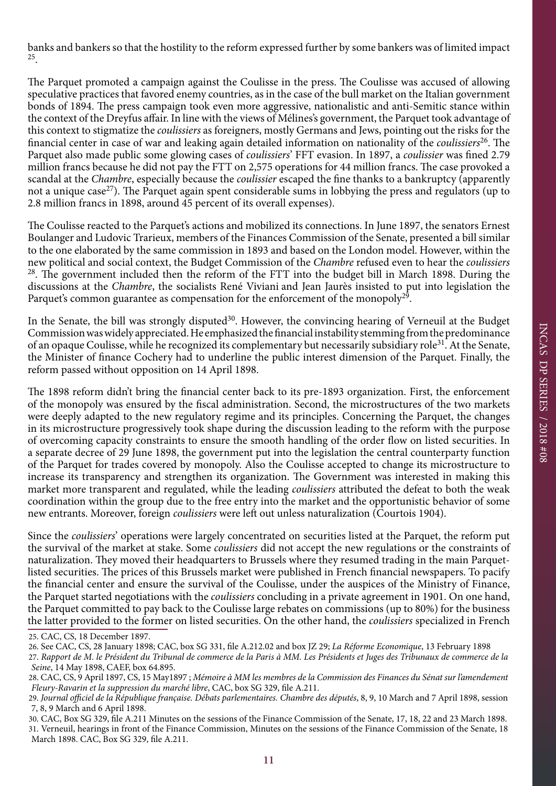banks and bankers so that the hostility to the reform expressed further by some bankers was of limited impact 25.

The Parquet promoted a campaign against the Coulisse in the press. The Coulisse was accused of allowing speculative practices that favored enemy countries, as in the case of the bull market on the Italian government bonds of 1894. The press campaign took even more aggressive, nationalistic and anti-Semitic stance within the context of the Dreyfus affair. In line with the views of Mélines's government, the Parquet took advantage of this context to stigmatize the *coulissiers* as foreigners, mostly Germans and Jews, pointing out the risks for the financial center in case of war and leaking again detailed information on nationality of the *coulissiers*26. The Parquet also made public some glowing cases of *coulissiers*' FFT evasion. In 1897, a *coulissier* was fined 2.79 million francs because he did not pay the FTT on 2,575 operations for 44 million francs. The case provoked a scandal at the *Chambre*, especially because the *coulissier* escaped the fine thanks to a bankruptcy (apparently not a unique case<sup>27</sup>). The Parquet again spent considerable sums in lobbying the press and regulators (up to 2.8 million francs in 1898, around 45 percent of its overall expenses).

The Coulisse reacted to the Parquet's actions and mobilized its connections. In June 1897, the senators Ernest Boulanger and Ludovic Trarieux, members of the Finances Commission of the Senate, presented a bill similar to the one elaborated by the same commission in 1893 and based on the London model. However, within the new political and social context, the Budget Commission of the *Chambre* refused even to hear the *coulissiers* <sup>28</sup>. The government included then the reform of the FTT into the budget bill in March 1898. During the discussions at the *Chambre*, the socialists René Viviani and Jean Jaurès insisted to put into legislation the Parquet's common guarantee as compensation for the enforcement of the monopoly<sup>29</sup>.

In the Senate, the bill was strongly disputed<sup>30</sup>. However, the convincing hearing of Verneuil at the Budget Commission was widely appreciated. He emphasized the financial instability stemming from the predominance of an opaque Coulisse, while he recognized its complementary but necessarily subsidiary role<sup>31</sup>. At the Senate, the Minister of finance Cochery had to underline the public interest dimension of the Parquet. Finally, the reform passed without opposition on 14 April 1898.

The 1898 reform didn't bring the financial center back to its pre-1893 organization. First, the enforcement of the monopoly was ensured by the fiscal administration. Second, the microstructures of the two markets were deeply adapted to the new regulatory regime and its principles. Concerning the Parquet, the changes in its microstructure progressively took shape during the discussion leading to the reform with the purpose of overcoming capacity constraints to ensure the smooth handling of the order flow on listed securities. In a separate decree of 29 June 1898, the government put into the legislation the central counterparty function of the Parquet for trades covered by monopoly. Also the Coulisse accepted to change its microstructure to increase its transparency and strengthen its organization. The Government was interested in making this market more transparent and regulated, while the leading *coulissiers* attributed the defeat to both the weak coordination within the group due to the free entry into the market and the opportunistic behavior of some new entrants. Moreover, foreign *coulissiers* were left out unless naturalization (Courtois 1904).

Since the *coulissiers*' operations were largely concentrated on securities listed at the Parquet, the reform put the survival of the market at stake. Some *coulissiers* did not accept the new regulations or the constraints of naturalization. They moved their headquarters to Brussels where they resumed trading in the main Parquetlisted securities. The prices of this Brussels market were published in French financial newspapers. To pacify the financial center and ensure the survival of the Coulisse, under the auspices of the Ministry of Finance, the Parquet started negotiations with the *coulissiers* concluding in a private agreement in 1901. On one hand, the Parquet committed to pay back to the Coulisse large rebates on commissions (up to 80%) for the business the latter provided to the former on listed securities. On the other hand, the *coulissiers* specialized in French

<sup>25.</sup> CAC, CS, 18 December 1897.

<sup>26.</sup> See CAC, CS, 28 January 1898; CAC, box SG 331, file A.212.02 and box JZ 29; *La Réforme Economique*, 13 February 1898

<sup>27.</sup> *Rapport de M. le Président du Tribunal de commerce de la Paris à MM. Les Présidents et Juges des Tribunaux de commerce de la Seine*, 14 May 1898, CAEF, box 64.895.

<sup>28.</sup> CAC, CS, 9 April 1897, CS, 15 May1897 ; *Mémoire à MM les membres de la Commission des Finances du Sénat sur l'amendement Fleury-Ravarin et la suppression du marché libre*, CAC, box SG 329, file A.211.

<sup>29.</sup> *Journal officiel de la République française. Débats parlementaires. Chambre des députés*, 8, 9, 10 March and 7 April 1898, session 7, 8, 9 March and 6 April 1898.

<sup>30.</sup> CAC, Box SG 329, file A.211 Minutes on the sessions of the Finance Commission of the Senate, 17, 18, 22 and 23 March 1898. 31. Verneuil, hearings in front of the Finance Commission, Minutes on the sessions of the Finance Commission of the Senate, 18 March 1898. CAC, Box SG 329, file A.211.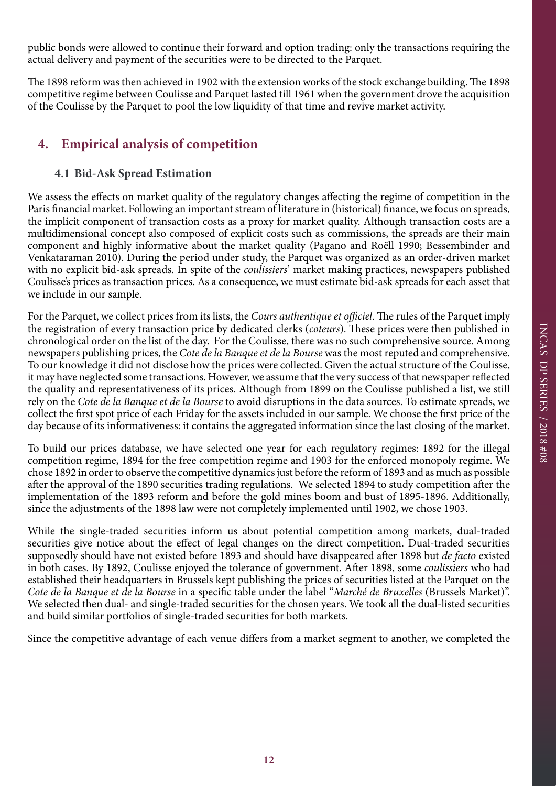public bonds were allowed to continue their forward and option trading: only the transactions requiring the actual delivery and payment of the securities were to be directed to the Parquet.

The 1898 reform was then achieved in 1902 with the extension works of the stock exchange building. The 1898 competitive regime between Coulisse and Parquet lasted till 1961 when the government drove the acquisition of the Coulisse by the Parquet to pool the low liquidity of that time and revive market activity.

# **4. Empirical analysis of competition**

# **4.1 Bid-Ask Spread Estimation**

We assess the effects on market quality of the regulatory changes affecting the regime of competition in the Paris financial market. Following an important stream of literature in (historical) finance, we focus on spreads, the implicit component of transaction costs as a proxy for market quality. Although transaction costs are a multidimensional concept also composed of explicit costs such as commissions, the spreads are their main component and highly informative about the market quality (Pagano and Roëll 1990; Bessembinder and Venkataraman 2010). During the period under study, the Parquet was organized as an order-driven market with no explicit bid-ask spreads. In spite of the *coulissiers*' market making practices, newspapers published Coulisse's prices as transaction prices. As a consequence, we must estimate bid-ask spreads for each asset that we include in our sample.

For the Parquet, we collect prices from its lists, the *Cours authentique et officiel*. The rules of the Parquet imply the registration of every transaction price by dedicated clerks (*coteurs*). These prices were then published in chronological order on the list of the day. For the Coulisse, there was no such comprehensive source. Among newspapers publishing prices, the *Cote de la Banque et de la Bourse* was the most reputed and comprehensive. To our knowledge it did not disclose how the prices were collected. Given the actual structure of the Coulisse, it may have neglected some transactions. However, we assume that the very success of that newspaper reflected the quality and representativeness of its prices. Although from 1899 on the Coulisse published a list, we still rely on the *Cote de la Banque et de la Bourse* to avoid disruptions in the data sources. To estimate spreads, we collect the first spot price of each Friday for the assets included in our sample. We choose the first price of the day because of its informativeness: it contains the aggregated information since the last closing of the market.

To build our prices database, we have selected one year for each regulatory regimes: 1892 for the illegal competition regime, 1894 for the free competition regime and 1903 for the enforced monopoly regime. We chose 1892 in order to observe the competitive dynamics just before the reform of 1893 and as much as possible after the approval of the 1890 securities trading regulations. We selected 1894 to study competition after the implementation of the 1893 reform and before the gold mines boom and bust of 1895-1896. Additionally, since the adjustments of the 1898 law were not completely implemented until 1902, we chose 1903.

While the single-traded securities inform us about potential competition among markets, dual-traded securities give notice about the effect of legal changes on the direct competition. Dual-traded securities supposedly should have not existed before 1893 and should have disappeared after 1898 but *de facto* existed in both cases. By 1892, Coulisse enjoyed the tolerance of government. After 1898, some *coulissiers* who had established their headquarters in Brussels kept publishing the prices of securities listed at the Parquet on the *Cote de la Banque et de la Bourse* in a specific table under the label "*Marché de Bruxelles* (Brussels Market)". We selected then dual- and single-traded securities for the chosen years. We took all the dual-listed securities and build similar portfolios of single-traded securities for both markets.

Since the competitive advantage of each venue differs from a market segment to another, we completed the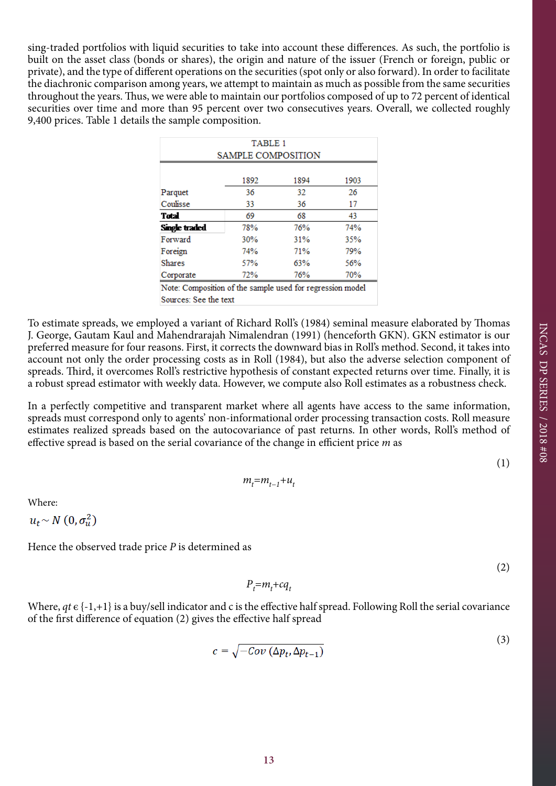sing-traded portfolios with liquid securities to take into account these differences. As such, the portfolio is built on the asset class (bonds or shares), the origin and nature of the issuer (French or foreign, public or private), and the type of different operations on the securities (spot only or also forward). In order to facilitate the diachronic comparison among years, we attempt to maintain as much as possible from the same securities throughout the years. Thus, we were able to maintain our portfolios composed of up to 72 percent of identical securities over time and more than 95 percent over two consecutives years. Overall, we collected roughly 9,400 prices. Table 1 details the sample composition.

| TABLE 1                                                   |      |      |      |  |  |  |  |
|-----------------------------------------------------------|------|------|------|--|--|--|--|
| <b>SAMPLE COMPOSITION</b>                                 |      |      |      |  |  |  |  |
|                                                           |      |      |      |  |  |  |  |
|                                                           | 1892 | 1894 | 1903 |  |  |  |  |
| Parquet                                                   | 36   | 32   | 26   |  |  |  |  |
| Coulisse                                                  | 33   | 36   | 17   |  |  |  |  |
| Total                                                     | 69   | 68   | 43   |  |  |  |  |
| Single traded                                             | 78%  | 76%  | 74%  |  |  |  |  |
| Forward                                                   | 30%  | 31%  | 35%  |  |  |  |  |
| Foreign                                                   | 74%  | 71%  | 79%  |  |  |  |  |
| Shares                                                    | 57%  | 63%  | 56%  |  |  |  |  |
| Corporate                                                 | 72%  | 76%  | 70%  |  |  |  |  |
| Note: Composition of the sample used for regression model |      |      |      |  |  |  |  |
| Sources: See the text                                     |      |      |      |  |  |  |  |

To estimate spreads, we employed a variant of Richard Roll's (1984) seminal measure elaborated by Thomas J. George, Gautam Kaul and Mahendrarajah Nimalendran (1991) (henceforth GKN). GKN estimator is our preferred measure for four reasons. First, it corrects the downward bias in Roll's method. Second, it takes into account not only the order processing costs as in Roll (1984), but also the adverse selection component of spreads. Third, it overcomes Roll's restrictive hypothesis of constant expected returns over time. Finally, it is a robust spread estimator with weekly data. However, we compute also Roll estimates as a robustness check.

In a perfectly competitive and transparent market where all agents have access to the same information, spreads must correspond only to agents' non-informational order processing transaction costs. Roll measure estimates realized spreads based on the autocovariance of past returns. In other words, Roll's method of effective spread is based on the serial covariance of the change in efficient price *m* as

(1)

$$
m_t = m_{t-1} + u_t
$$

Where:

 $u_t \sim N(0, \sigma_u^2)$ 

Hence the observed trade price *P* is determined as

(2)

 $(3)$ 

$$
P_t = m_t + cq_t
$$

Where,  $qt \in \{-1,+1\}$  is a buy/sell indicator and c is the effective half spread. Following Roll the serial covariance of the first difference of equation (2) gives the effective half spread

$$
c = \sqrt{-Cov\left(\Delta p_t, \Delta p_{t-1}\right)}
$$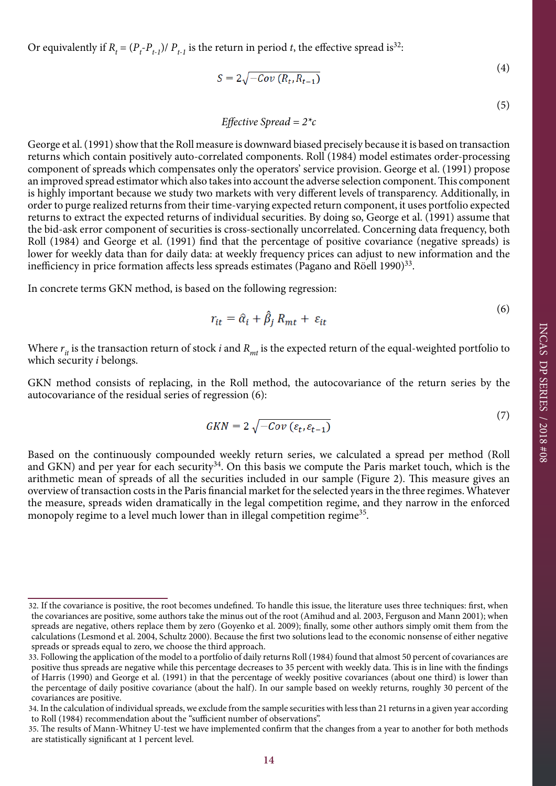Or equivalently if  $R_t = (P_t - P_{t-1})/P_{t-1}$  is the return in period *t*, the effective spread is<sup>32</sup>:

$$
S = 2\sqrt{-Cov\left(R_t, R_{t-1}\right)}\tag{4}
$$

(5)

 $(6)$ 

(7)

 $(4)$ 

$$
Effective\,\,Speed = 2^*c
$$

George et al. (1991) show that the Roll measure is downward biased precisely because it is based on transaction returns which contain positively auto-correlated components. Roll (1984) model estimates order-processing component of spreads which compensates only the operators' service provision. George et al. (1991) propose an improved spread estimator which also takes into account the adverse selection component. This component is highly important because we study two markets with very different levels of transparency. Additionally, in order to purge realized returns from their time-varying expected return component, it uses portfolio expected returns to extract the expected returns of individual securities. By doing so, George et al. (1991) assume that the bid-ask error component of securities is cross-sectionally uncorrelated. Concerning data frequency, both Roll (1984) and George et al. (1991) find that the percentage of positive covariance (negative spreads) is lower for weekly data than for daily data: at weekly frequency prices can adjust to new information and the inefficiency in price formation affects less spreads estimates (Pagano and Röell 1990)<sup>33</sup>.

In concrete terms GKN method, is based on the following regression:

$$
r_{it} = \hat{\alpha}_i + \hat{\beta}_j R_{mt} + \varepsilon_{it}
$$

Where  $r_{it}$  is the transaction return of stock *i* and  $R_{mt}$  is the expected return of the equal-weighted portfolio to which security *i* belongs.

GKN method consists of replacing, in the Roll method, the autocovariance of the return series by the autocovariance of the residual series of regression (6):

$$
GKN = 2\sqrt{-Cov\left(\varepsilon_t, \varepsilon_{t-1}\right)}
$$

Based on the continuously compounded weekly return series, we calculated a spread per method (Roll and GKN) and per year for each security<sup>34</sup>. On this basis we compute the Paris market touch, which is the arithmetic mean of spreads of all the securities included in our sample (Figure 2). This measure gives an overview of transaction costs in the Paris financial market for the selected years in the three regimes. Whatever the measure, spreads widen dramatically in the legal competition regime, and they narrow in the enforced monopoly regime to a level much lower than in illegal competition regime<sup>35</sup>.

<sup>32.</sup> If the covariance is positive, the root becomes undefined. To handle this issue, the literature uses three techniques: first, when the covariances are positive, some authors take the minus out of the root (Amihud and al. 2003, Ferguson and Mann 2001); when spreads are negative, others replace them by zero (Goyenko et al. 2009); finally, some other authors simply omit them from the calculations (Lesmond et al. 2004, Schultz 2000). Because the first two solutions lead to the economic nonsense of either negative spreads or spreads equal to zero, we choose the third approach.

<sup>33.</sup> Following the application of the model to a portfolio of daily returns Roll (1984) found that almost 50 percent of covariances are positive thus spreads are negative while this percentage decreases to 35 percent with weekly data. This is in line with the findings of Harris (1990) and George et al. (1991) in that the percentage of weekly positive covariances (about one third) is lower than the percentage of daily positive covariance (about the half). In our sample based on weekly returns, roughly 30 percent of the covariances are positive.

<sup>34.</sup> In the calculation of individual spreads, we exclude from the sample securities with less than 21 returns in a given year according to Roll (1984) recommendation about the "sufficient number of observations".

<sup>35.</sup> The results of Mann-Whitney U-test we have implemented confirm that the changes from a year to another for both methods are statistically significant at 1 percent level.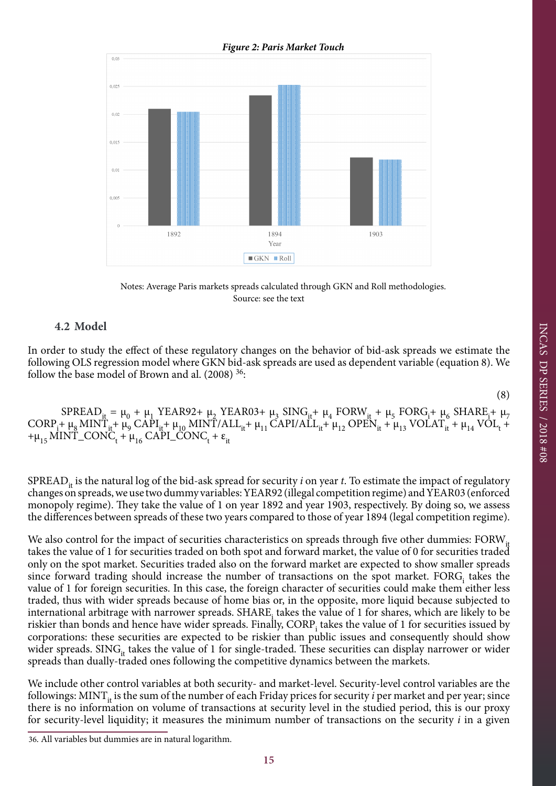

Notes: Average Paris markets spreads calculated through GKN and Roll methodologies. Source: see the text

### **4.2 Model**

In order to study the effect of these regulatory changes on the behavior of bid-ask spreads we estimate the following OLS regression model where GKN bid-ask spreads are used as dependent variable (equation 8). We follow the base model of Brown and al.  $(2008)$ <sup>36</sup>:

(8)

INCAS DP SERIES / 2018 #08

INCAS DP SERIES / 2018 #08

 $SPREAD_{it} = \mu_0 + \mu_1$  YEAR92+  $\mu_2$  YEAR03+  $\mu_3$  SING<sub>it</sub>+  $\mu_4$  FORW<sub>it</sub> +  $\mu_5$  FORG<sub>i</sub>+  $\mu_6$  SHARE<sub>i</sub>+  $\mu_7$  $CORP_i^+ \mu_8 MINT_{it}^+ \mu_9 \text{ CAPI}_{it}^+ \mu_{10} MINT/ALL_{it}^+ \mu_{11} \text{ CAPI/ALL}_{it}^+ \mu_{12} \text{ OPER}_{it}^+ \mu_{13} \text{ VOLAT}_{it}^+ \mu_{14} \text{ VOL}_{t}^+$  $+\mu_{15}$ MINT\_CONC<sub>t</sub> +  $\mu_{16}$  CAPI\_CONC<sub>t</sub> +  $\varepsilon_{it}$ 

SPREAD<sub>it</sub> is the natural log of the bid-ask spread for security *i* on year *t*. To estimate the impact of regulatory changes on spreads, we use two dummy variables: YEAR92 (illegal competition regime) and YEAR03 (enforced monopoly regime). They take the value of 1 on year 1892 and year 1903, respectively. By doing so, we assess the differences between spreads of these two years compared to those of year 1894 (legal competition regime).

We also control for the impact of securities characteristics on spreads through five other dummies: FORW<sub>it</sub> takes the value of 1 for securities traded on both spot and forward market, the value of 0 for securities traded only on the spot market. Securities traded also on the forward market are expected to show smaller spreads since forward trading should increase the number of transactions on the spot market.  $FORG_i$  takes the value of 1 for foreign securities. In this case, the foreign character of securities could make them either less traded, thus with wider spreads because of home bias or, in the opposite, more liquid because subjected to international arbitrage with narrower spreads. SHARE takes the value of 1 for shares, which are likely to be riskier than bonds and hence have wider spreads. Finally, CORP<sub>i</sub> takes the value of 1 for securities issued by corporations: these securities are expected to be riskier than public issues and consequently should show wider spreads. SING<sub>it</sub> takes the value of 1 for single-traded. These securities can display narrower or wider spreads than dually-traded ones following the competitive dynamics between the markets.

We include other control variables at both security- and market-level. Security-level control variables are the followings: MINT<sub>it</sub> is the sum of the number of each Friday prices for security *i* per market and per year; since there is no information on volume of transactions at security level in the studied period, this is our proxy for security-level liquidity; it measures the minimum number of transactions on the security *i* in a given

<sup>36.</sup> All variables but dummies are in natural logarithm.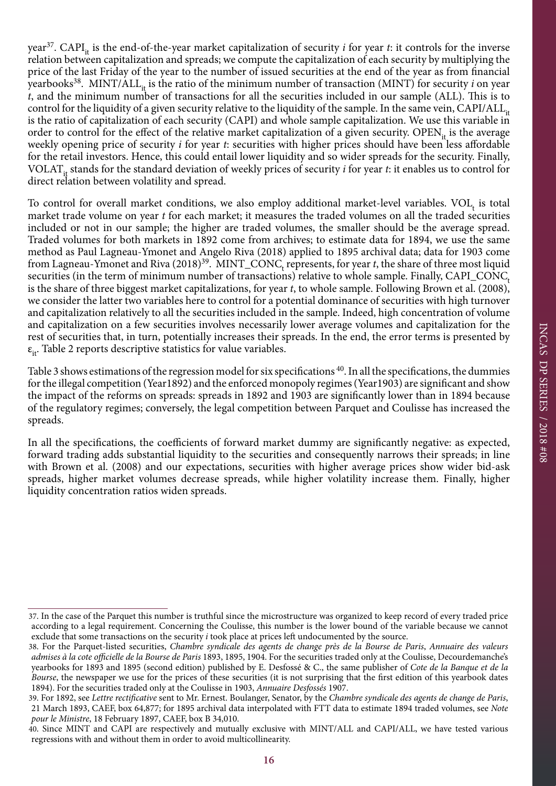year<sup>37</sup>. CAPI<sub>it</sub> is the end-of-the-year market capitalization of security *i* for year *t*: it controls for the inverse relation between capitalization and spreads; we compute the capitalization of each security by multiplying the price of the last Friday of the year to the number of issued securities at the end of the year as from financial yearbooks<sup>38</sup>. MINT/ALL<sub>it</sub> is the ratio of the minimum number of transaction (MINT) for security *i* on year *t*, and the minimum number of transactions for all the securities included in our sample (ALL). This is to control for the liquidity of a given security relative to the liquidity of the sample. In the same vein, CAPI/ALL<sub>it</sub> is the ratio of capitalization of each security (CAPI) and whole sample capitalization. We use this variable in order to control for the effect of the relative market capitalization of a given security. OPEN<sub>it</sub> is the average weekly opening price of security *i* for year *t*: securities with higher prices should have been less affordable for the retail investors. Hence, this could entail lower liquidity and so wider spreads for the security. Finally, VOLAT<sub>it</sub> stands for the standard deviation of weekly prices of security *i* for year *t*: it enables us to control for direct relation between volatility and spread.

To control for overall market conditions, we also employ additional market-level variables.  $VOL<sub>t</sub>$  is total market trade volume on year *t* for each market; it measures the traded volumes on all the traded securities included or not in our sample; the higher are traded volumes, the smaller should be the average spread. Traded volumes for both markets in 1892 come from archives; to estimate data for 1894, we use the same method as Paul Lagneau-Ymonet and Angelo Riva (2018) applied to 1895 archival data; data for 1903 come from Lagneau-Ymonet and Riva  $(2018)^{39}$ . MINT\_CONC<sub>t</sub> represents, for year *t*, the share of three most liquid securities (in the term of minimum number of transactions) relative to whole sample. Finally, CAPI\_CONC<sub>t</sub> is the share of three biggest market capitalizations, for year *t*, to whole sample. Following Brown et al. (2008), we consider the latter two variables here to control for a potential dominance of securities with high turnover and capitalization relatively to all the securities included in the sample. Indeed, high concentration of volume and capitalization on a few securities involves necessarily lower average volumes and capitalization for the rest of securities that, in turn, potentially increases their spreads. In the end, the error terms is presented by  $\varepsilon_{it}$ . Table 2 reports descriptive statistics for value variables.

Table 3 shows estimations of the regression model for six specifications <sup>40</sup>. In all the specifications, the dummies for the illegal competition (Year1892) and the enforced monopoly regimes (Year1903) are significant and show the impact of the reforms on spreads: spreads in 1892 and 1903 are significantly lower than in 1894 because of the regulatory regimes; conversely, the legal competition between Parquet and Coulisse has increased the spreads.

In all the specifications, the coefficients of forward market dummy are significantly negative: as expected, forward trading adds substantial liquidity to the securities and consequently narrows their spreads; in line with Brown et al. (2008) and our expectations, securities with higher average prices show wider bid-ask spreads, higher market volumes decrease spreads, while higher volatility increase them. Finally, higher liquidity concentration ratios widen spreads.

<sup>37.</sup> In the case of the Parquet this number is truthful since the microstructure was organized to keep record of every traded price according to a legal requirement. Concerning the Coulisse, this number is the lower bound of the variable because we cannot exclude that some transactions on the security *i* took place at prices left undocumented by the source.

<sup>38.</sup> For the Parquet-listed securities, *Chambre syndicale des agents de change près de la Bourse de Paris*, *Annuaire des valeurs admises à la cote officielle de la Bourse de Paris* 1893, 1895, 1904. For the securities traded only at the Coulisse, Decourdemanche's yearbooks for 1893 and 1895 (second edition) published by E. Desfossé & C., the same publisher of *Cote de la Banque et de la Bourse*, the newspaper we use for the prices of these securities (it is not surprising that the first edition of this yearbook dates 1894). For the securities traded only at the Coulisse in 1903, *Annuaire Desfossés* 1907.

<sup>39.</sup> For 1892, see *Lettre rectificative* sent to Mr. Ernest. Boulanger, Senator, by the *Chambre syndicale des agents de change de Paris*, 21 March 1893, CAEF, box 64,877; for 1895 archival data interpolated with FTT data to estimate 1894 traded volumes, see *Note pour le Ministre*, 18 February 1897, CAEF, box B 34,010.

<sup>40.</sup> Since MINT and CAPI are respectively and mutually exclusive with MINT/ALL and CAPI/ALL, we have tested various regressions with and without them in order to avoid multicollinearity.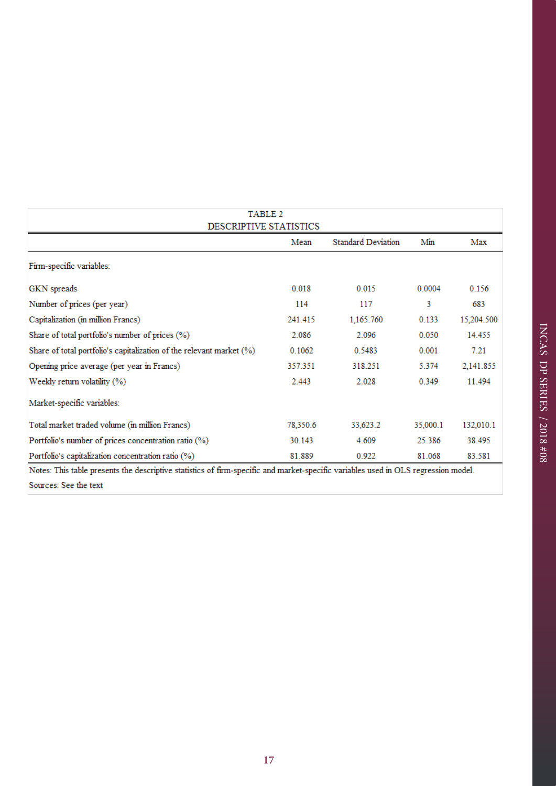| TABLE 2                                                                                                                      |          |                           |          |            |  |  |  |  |  |
|------------------------------------------------------------------------------------------------------------------------------|----------|---------------------------|----------|------------|--|--|--|--|--|
| DESCRIPTIVE STATISTICS                                                                                                       |          |                           |          |            |  |  |  |  |  |
|                                                                                                                              | Mean     | <b>Standard Deviation</b> | Min      | Max        |  |  |  |  |  |
| Firm-specific variables:                                                                                                     |          |                           |          |            |  |  |  |  |  |
| GKN spreads                                                                                                                  | 0.018    | 0.015                     | 0.0004   | 0.156      |  |  |  |  |  |
| Number of prices (per year)                                                                                                  | 114      | 117                       | 3        | 683        |  |  |  |  |  |
| Capitalization (in million Francs)                                                                                           | 241.415  | 1,165.760                 | 0.133    | 15,204.500 |  |  |  |  |  |
| Share of total portfolio's number of prices (%)                                                                              | 2.086    | 2.096                     | 0.050    | 14.455     |  |  |  |  |  |
| Share of total portfolio's capitalization of the relevant market (%)                                                         | 0.1062   | 0.5483                    | 0.001    | 7.21       |  |  |  |  |  |
| Opening price average (per year in Francs)                                                                                   | 357.351  | 318.251                   | 5.374    | 2,141.855  |  |  |  |  |  |
| Weekly return volatility (%)                                                                                                 | 2.443    | 2.028                     | 0.349    | 11.494     |  |  |  |  |  |
| Market-specific variables:                                                                                                   |          |                           |          |            |  |  |  |  |  |
| Total market traded volume (in million Francs)                                                                               | 78,350.6 | 33,623.2                  | 35,000.1 | 132,010.1  |  |  |  |  |  |
| Portfolio's number of prices concentration ratio (%)                                                                         | 30.143   | 4.609                     | 25.386   | 38.495     |  |  |  |  |  |
| Portfolio's capitalization concentration ratio (%)                                                                           | 81.889   | 0.922                     | 81.068   | 83.581     |  |  |  |  |  |
| Marco This rathe accessor the decembrise critician of flame accelled and accelerate conditions and in OLO accusación acceler |          |                           |          |            |  |  |  |  |  |

Notes: This table presents the descriptive statistics of firm-specific and market-specific variables used in OLS regression model. Sources: See the text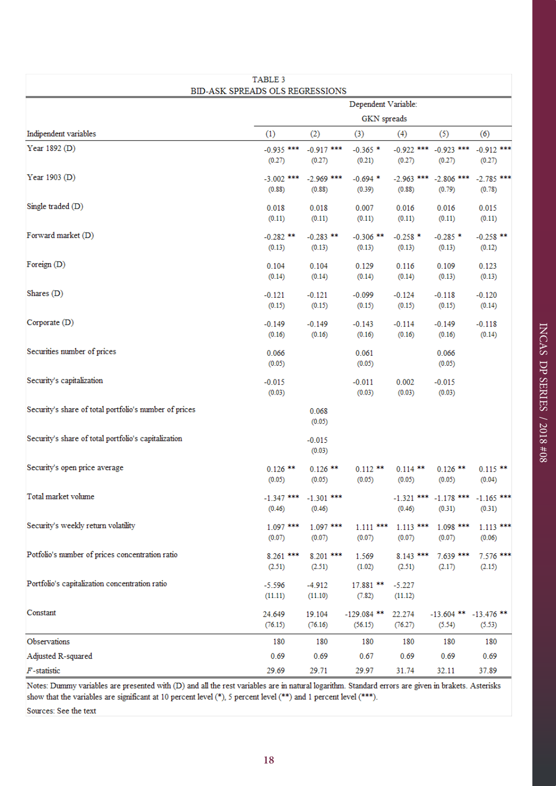| TABLE 3<br>BID-ASK SPREADS OLS REGRESSIONS             |                        |                                     |                          |                        |                                     |                                                  |  |  |
|--------------------------------------------------------|------------------------|-------------------------------------|--------------------------|------------------------|-------------------------------------|--------------------------------------------------|--|--|
|                                                        |                        | Dependent Variable:                 |                          |                        |                                     |                                                  |  |  |
|                                                        |                        | <b>GKN</b> spreads                  |                          |                        |                                     |                                                  |  |  |
| Indipendent variables                                  | (1)                    | (2)                                 | (3)                      | (4)                    | (5)                                 | (6)                                              |  |  |
| Year 1892 (D)                                          | $-0.935$ ***<br>(0.27) | $-0.917$ ***<br>(0.27)              | $-0.365$ *<br>(0.21)     | $-0.922$ ***<br>(0.27) | $-0.923$ ***<br>(0.27)              | $-0.912$ ***<br>(0.27)                           |  |  |
| Year 1903 (D)                                          | $-3.002$ ***<br>(0.88) | $-2.969$ ***<br>(0.88)              | $-0.694*$<br>(0.39)      | $-2.963$ ***<br>(0.88) | $-2.806$ ***<br>(0.79)              | $-2.785$ ***<br>(0.78)                           |  |  |
| Single traded (D)                                      | 0.018<br>(0.11)        | 0.018<br>(0.11)                     | 0.007<br>(0.11)          | 0.016<br>(0.11)        | 0.016<br>(0.11)                     | 0.015<br>(0.11)                                  |  |  |
| Forward market (D)                                     | $-0.282$ **<br>(0.13)  | $-0.283$ **<br>(0.13)               | $-0.306$ **<br>(0.13)    | $-0.258$ *<br>(0.13)   | $-0.285$ *<br>(0.13)                | $-0.258$ **<br>(0.12)                            |  |  |
| Foreign (D)                                            | 0.104<br>(0.14)        | 0.104<br>(0.14)                     | 0.129<br>(0.14)          | 0.116<br>(0.14)        | 0.109<br>(0.13)                     | 0.123<br>(0.13)                                  |  |  |
| Shares $(D)$                                           | $-0.121$<br>(0.15)     | $-0.121$<br>(0.15)                  | $-0.099$<br>(0.15)       | $-0.124$<br>(0.15)     | $-0.118$<br>(0.15)                  | $-0.120$<br>(0.14)                               |  |  |
| Corporate (D)                                          | $-0.149$<br>(0.16)     | $-0.149$<br>(0.16)                  | $-0.143$<br>(0.16)       | $-0.114$<br>(0.16)     | $-0.149$<br>(0.16)                  | $-0.118$<br>(0.14)                               |  |  |
| Securities number of prices                            | 0.066<br>(0.05)        |                                     | 0.061<br>(0.05)          |                        | 0.066<br>(0.05)                     |                                                  |  |  |
| Security's capitalization                              | $-0.015$<br>(0.03)     |                                     | $-0.011$<br>(0.03)       | 0.002<br>(0.03)        | $-0.015$<br>(0.03)                  |                                                  |  |  |
| Security's share of total portfolio's number of prices |                        | 0.068<br>(0.05)                     |                          |                        |                                     |                                                  |  |  |
| Security's share of total portfolio's capitalization   |                        | $-0.015$<br>(0.03)                  |                          |                        |                                     |                                                  |  |  |
| Security's open price average                          | $0.126$ **<br>(0.05)   | $0.126$ **<br>(0.05)                | $0.112$ **<br>(0.05)     | $0.114$ **<br>(0.05)   | $0.126$ **<br>(0.05)                | $0.115$ **<br>(0.04)                             |  |  |
| Total market volume                                    | (0.46)                 | $-1.347$ *** $-1.301$ ***<br>(0.46) |                          | (0.46)                 | (0.31)                              | $-1.321$ *** $-1.178$ *** $-1.165$ ***<br>(0.31) |  |  |
| Security's weekly return volatility                    | $1.097$ ***<br>(0.07)  | 1.097 ***<br>(0.07)                 | $1.111***$<br>(0.07)     | $1.113$ ***<br>(0.07)  | $1.098$ ***<br>(0.07)               | $1.113***$<br>(0.06)                             |  |  |
| Potfolio's number of prices concentration ratio        | 8.261 ***<br>(2.51)    | 8.201 ***<br>(2.51)                 | 1.569<br>(1.02)          | $8.143$ ***<br>(2.51)  | 7.639 ***<br>(2.17)                 | 7.576 ***<br>(2.15)                              |  |  |
| Portfolio's capitalization concentration ratio         | $-5.596$<br>(11.11)    | $-4.912$<br>(11.10)                 | 17.881 **<br>(7.82)      | $-5.227$<br>(11.12)    |                                     |                                                  |  |  |
| Constant                                               | 24.649<br>(76.15)      | 19.104<br>(76.16)                   | $-129.084$ **<br>(56.15) | 22.274<br>(76.27)      | $-13.604$ ** $-13.476$ **<br>(5.54) | (5.53)                                           |  |  |
| Observations                                           | 180                    | 180                                 | 180                      | 180                    | 180                                 | 180                                              |  |  |
| Adjusted R-squared                                     | 0.69                   | 0.69                                | 0.67                     | 0.69                   | 0.69                                | 0.69                                             |  |  |
| $F$ -statistic                                         | 29.69                  | 29.71                               | 29.97                    | 31.74                  | 32.11                               | 37.89                                            |  |  |

Notes: Dummy variables are presented with (D) and all the rest variables are in natural logarithm. Standard errors are given in brakets. Asterisks show that the variables are significant at 10 percent level (\*), 5 percent level (\*\*) and 1 percent level (\*\*\*).

Sources: See the text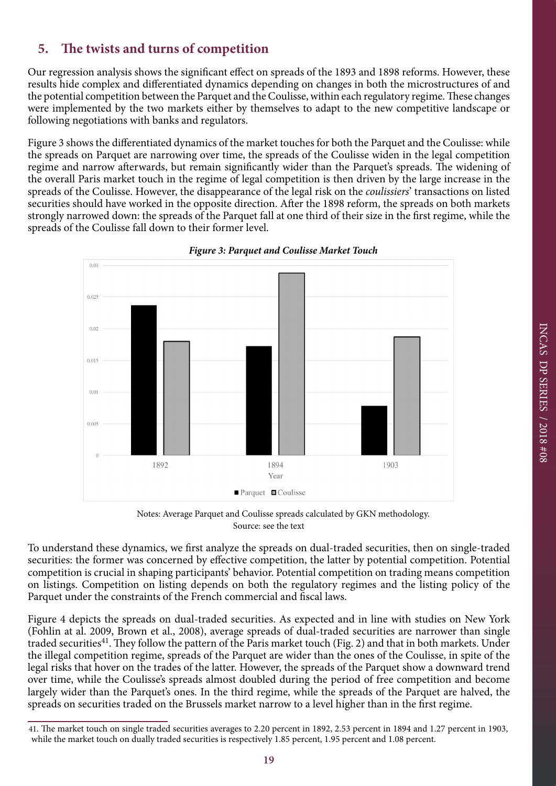Our regression analysis shows the significant effect on spreads of the 1893 and 1898 reforms. However, these results hide complex and differentiated dynamics depending on changes in both the microstructures of and the potential competition between the Parquet and the Coulisse, within each regulatory regime. These changes were implemented by the two markets either by themselves to adapt to the new competitive landscape or following negotiations with banks and regulators.

Figure 3 shows the differentiated dynamics of the market touches for both the Parquet and the Coulisse: while the spreads on Parquet are narrowing over time, the spreads of the Coulisse widen in the legal competition regime and narrow afterwards, but remain significantly wider than the Parquet's spreads. The widening of the overall Paris market touch in the regime of legal competition is then driven by the large increase in the spreads of the Coulisse. However, the disappearance of the legal risk on the *coulissiers*' transactions on listed securities should have worked in the opposite direction. After the 1898 reform, the spreads on both markets strongly narrowed down: the spreads of the Parquet fall at one third of their size in the first regime, while the spreads of the Coulisse fall down to their former level.





Notes: Average Parquet and Coulisse spreads calculated by GKN methodology. Source: see the text

To understand these dynamics, we first analyze the spreads on dual-traded securities, then on single-traded securities: the former was concerned by effective competition, the latter by potential competition. Potential competition is crucial in shaping participants' behavior. Potential competition on trading means competition on listings. Competition on listing depends on both the regulatory regimes and the listing policy of the Parquet under the constraints of the French commercial and fiscal laws.

Figure 4 depicts the spreads on dual-traded securities. As expected and in line with studies on New York (Fohlin at al. 2009, Brown et al., 2008), average spreads of dual-traded securities are narrower than single traded securities<sup>41</sup>. They follow the pattern of the Paris market touch (Fig. 2) and that in both markets. Under the illegal competition regime, spreads of the Parquet are wider than the ones of the Coulisse, in spite of the legal risks that hover on the trades of the latter. However, the spreads of the Parquet show a downward trend over time, while the Coulisse's spreads almost doubled during the period of free competition and become largely wider than the Parquet's ones. In the third regime, while the spreads of the Parquet are halved, the spreads on securities traded on the Brussels market narrow to a level higher than in the first regime.

<sup>41.</sup> The market touch on single traded securities averages to 2.20 percent in 1892, 2.53 percent in 1894 and 1.27 percent in 1903, while the market touch on dually traded securities is respectively 1.85 percent, 1.95 percent and 1.08 percent.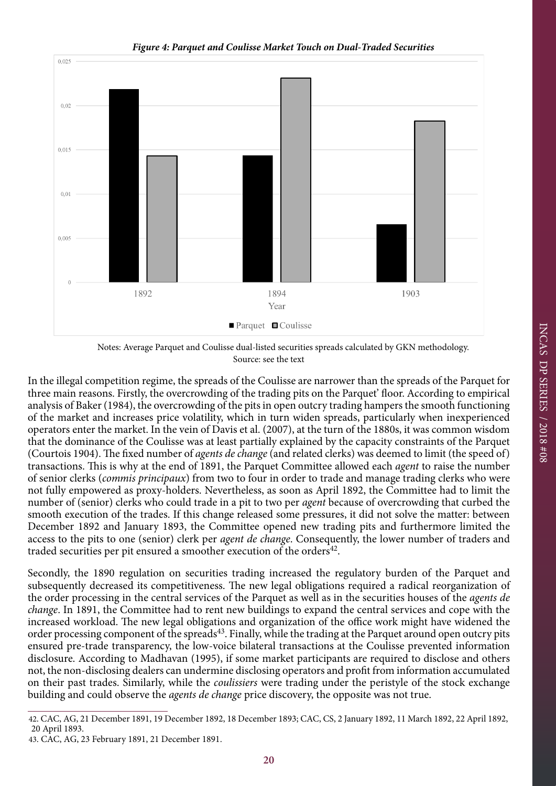

Notes: Average Parquet and Coulisse dual-listed securities spreads calculated by GKN methodology. Source: see the text

In the illegal competition regime, the spreads of the Coulisse are narrower than the spreads of the Parquet for three main reasons. Firstly, the overcrowding of the trading pits on the Parquet' floor. According to empirical analysis of Baker (1984), the overcrowding of the pits in open outcry trading hampers the smooth functioning of the market and increases price volatility, which in turn widen spreads, particularly when inexperienced operators enter the market. In the vein of Davis et al. (2007), at the turn of the 1880s, it was common wisdom that the dominance of the Coulisse was at least partially explained by the capacity constraints of the Parquet (Courtois 1904). The fixed number of *agents de change* (and related clerks) was deemed to limit (the speed of) transactions. This is why at the end of 1891, the Parquet Committee allowed each *agent* to raise the number of senior clerks (*commis principaux*) from two to four in order to trade and manage trading clerks who were not fully empowered as proxy-holders. Nevertheless, as soon as April 1892, the Committee had to limit the number of (senior) clerks who could trade in a pit to two per *agent* because of overcrowding that curbed the smooth execution of the trades. If this change released some pressures, it did not solve the matter: between December 1892 and January 1893, the Committee opened new trading pits and furthermore limited the access to the pits to one (senior) clerk per *agent de change*. Consequently, the lower number of traders and traded securities per pit ensured a smoother execution of the orders<sup>42</sup>.

Secondly, the 1890 regulation on securities trading increased the regulatory burden of the Parquet and subsequently decreased its competitiveness. The new legal obligations required a radical reorganization of the order processing in the central services of the Parquet as well as in the securities houses of the *agents de change*. In 1891, the Committee had to rent new buildings to expand the central services and cope with the increased workload. The new legal obligations and organization of the office work might have widened the order processing component of the spreads<sup>43</sup>. Finally, while the trading at the Parquet around open outcry pits ensured pre-trade transparency, the low-voice bilateral transactions at the Coulisse prevented information disclosure. According to Madhavan (1995), if some market participants are required to disclose and others not, the non-disclosing dealers can undermine disclosing operators and profit from information accumulated on their past trades. Similarly, while the *coulissiers* were trading under the peristyle of the stock exchange building and could observe the *agents de change* price discovery, the opposite was not true.

<sup>42.</sup> CAC, AG, 21 December 1891, 19 December 1892, 18 December 1893; CAC, CS, 2 January 1892, 11 March 1892, 22 April 1892, 20 April 1893.

<sup>43.</sup> CAC, AG, 23 February 1891, 21 December 1891.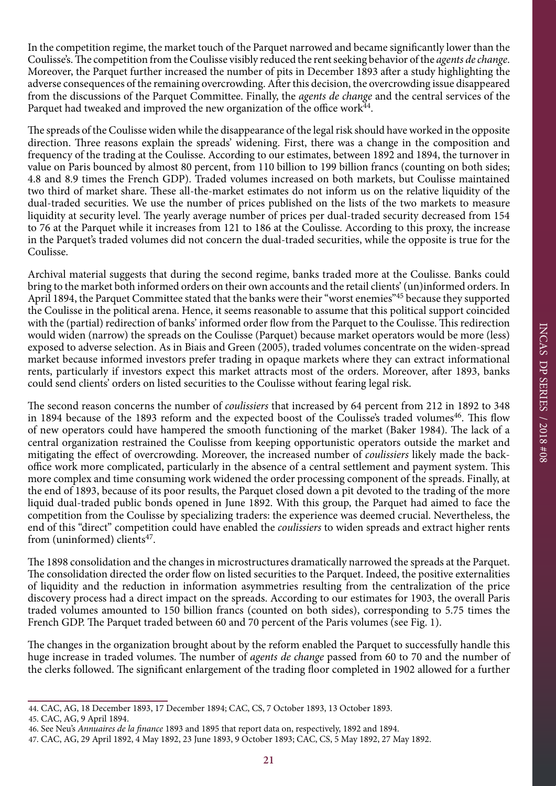In the competition regime, the market touch of the Parquet narrowed and became significantly lower than the Coulisse's. The competition from the Coulisse visibly reduced the rent seeking behavior of the *agents de change*. Moreover, the Parquet further increased the number of pits in December 1893 after a study highlighting the adverse consequences of the remaining overcrowding. After this decision, the overcrowding issue disappeared from the discussions of the Parquet Committee. Finally, the *agents de change* and the central services of the Parquet had tweaked and improved the new organization of the office work $^{\bar{4}4}$ .

The spreads of the Coulisse widen while the disappearance of the legal risk should have worked in the opposite direction. Three reasons explain the spreads' widening. First, there was a change in the composition and frequency of the trading at the Coulisse. According to our estimates, between 1892 and 1894, the turnover in value on Paris bounced by almost 80 percent, from 110 billion to 199 billion francs (counting on both sides; 4.8 and 8.9 times the French GDP). Traded volumes increased on both markets, but Coulisse maintained two third of market share. These all-the-market estimates do not inform us on the relative liquidity of the dual-traded securities. We use the number of prices published on the lists of the two markets to measure liquidity at security level. The yearly average number of prices per dual-traded security decreased from 154 to 76 at the Parquet while it increases from 121 to 186 at the Coulisse. According to this proxy, the increase in the Parquet's traded volumes did not concern the dual-traded securities, while the opposite is true for the Coulisse.

Archival material suggests that during the second regime, banks traded more at the Coulisse. Banks could bring to the market both informed orders on their own accounts and the retail clients' (un)informed orders. In April 1894, the Parquet Committee stated that the banks were their "worst enemies"<sup>45</sup> because they supported the Coulisse in the political arena. Hence, it seems reasonable to assume that this political support coincided with the (partial) redirection of banks' informed order flow from the Parquet to the Coulisse. This redirection would widen (narrow) the spreads on the Coulisse (Parquet) because market operators would be more (less) exposed to adverse selection. As in Biais and Green (2005), traded volumes concentrate on the widen-spread market because informed investors prefer trading in opaque markets where they can extract informational rents, particularly if investors expect this market attracts most of the orders. Moreover, after 1893, banks could send clients' orders on listed securities to the Coulisse without fearing legal risk.

The second reason concerns the number of *coulissiers* that increased by 64 percent from 212 in 1892 to 348 in 1894 because of the 1893 reform and the expected boost of the Coulisse's traded volumes<sup>46</sup>. This flow of new operators could have hampered the smooth functioning of the market (Baker 1984). The lack of a central organization restrained the Coulisse from keeping opportunistic operators outside the market and mitigating the effect of overcrowding. Moreover, the increased number of *coulissiers* likely made the backoffice work more complicated, particularly in the absence of a central settlement and payment system. This more complex and time consuming work widened the order processing component of the spreads. Finally, at the end of 1893, because of its poor results, the Parquet closed down a pit devoted to the trading of the more liquid dual-traded public bonds opened in June 1892. With this group, the Parquet had aimed to face the competition from the Coulisse by specializing traders: the experience was deemed crucial. Nevertheless, the end of this "direct" competition could have enabled the *coulissiers* to widen spreads and extract higher rents from (uninformed) clients<sup>47</sup>.

The 1898 consolidation and the changes in microstructures dramatically narrowed the spreads at the Parquet. The consolidation directed the order flow on listed securities to the Parquet. Indeed, the positive externalities of liquidity and the reduction in information asymmetries resulting from the centralization of the price discovery process had a direct impact on the spreads. According to our estimates for 1903, the overall Paris traded volumes amounted to 150 billion francs (counted on both sides), corresponding to 5.75 times the French GDP. The Parquet traded between 60 and 70 percent of the Paris volumes (see Fig. 1).

The changes in the organization brought about by the reform enabled the Parquet to successfully handle this huge increase in traded volumes. The number of *agents de change* passed from 60 to 70 and the number of the clerks followed. The significant enlargement of the trading floor completed in 1902 allowed for a further

<sup>44.</sup> CAC, AG, 18 December 1893, 17 December 1894; CAC, CS, 7 October 1893, 13 October 1893.

<sup>45.</sup> CAC, AG, 9 April 1894.

<sup>46.</sup> See Neu's *Annuaires de la finance* 1893 and 1895 that report data on, respectively, 1892 and 1894.

<sup>47.</sup> CAC, AG, 29 April 1892, 4 May 1892, 23 June 1893, 9 October 1893; CAC, CS, 5 May 1892, 27 May 1892.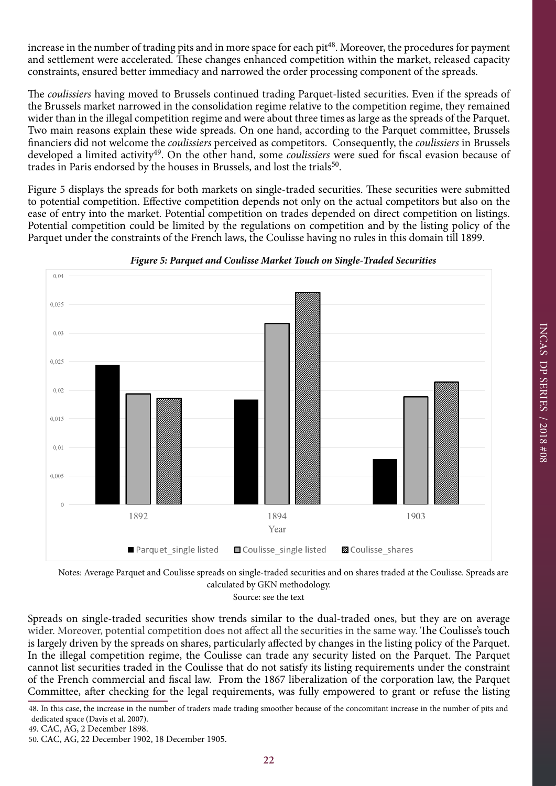increase in the number of trading pits and in more space for each pit<sup>48</sup>. Moreover, the procedures for payment and settlement were accelerated. These changes enhanced competition within the market, released capacity constraints, ensured better immediacy and narrowed the order processing component of the spreads.

The *coulissiers* having moved to Brussels continued trading Parquet-listed securities. Even if the spreads of the Brussels market narrowed in the consolidation regime relative to the competition regime, they remained wider than in the illegal competition regime and were about three times as large as the spreads of the Parquet. Two main reasons explain these wide spreads. On one hand, according to the Parquet committee, Brussels financiers did not welcome the *coulissiers* perceived as competitors. Consequently, the *coulissiers* in Brussels developed a limited activity<sup>49</sup>. On the other hand, some *coulissiers* were sued for fiscal evasion because of trades in Paris endorsed by the houses in Brussels, and lost the trials<sup>50</sup>.

Figure 5 displays the spreads for both markets on single-traded securities. These securities were submitted to potential competition. Effective competition depends not only on the actual competitors but also on the ease of entry into the market. Potential competition on trades depended on direct competition on listings. Potential competition could be limited by the regulations on competition and by the listing policy of the Parquet under the constraints of the French laws, the Coulisse having no rules in this domain till 1899.



*Figure 5: Parquet and Coulisse Market Touch on Single-Traded Securities*

Notes: Average Parquet and Coulisse spreads on single-traded securities and on shares traded at the Coulisse. Spreads are calculated by GKN methodology. Source: see the text

Spreads on single-traded securities show trends similar to the dual-traded ones, but they are on average wider. Moreover, potential competition does not affect all the securities in the same way. The Coulisse's touch is largely driven by the spreads on shares, particularly affected by changes in the listing policy of the Parquet. In the illegal competition regime, the Coulisse can trade any security listed on the Parquet. The Parquet cannot list securities traded in the Coulisse that do not satisfy its listing requirements under the constraint of the French commercial and fiscal law. From the 1867 liberalization of the corporation law, the Parquet Committee, after checking for the legal requirements, was fully empowered to grant or refuse the listing

48. In this case, the increase in the number of traders made trading smoother because of the concomitant increase in the number of pits and dedicated space (Davis et al. 2007).

<sup>49.</sup> CAC, AG, 2 December 1898.

<sup>50.</sup> CAC, AG, 22 December 1902, 18 December 1905.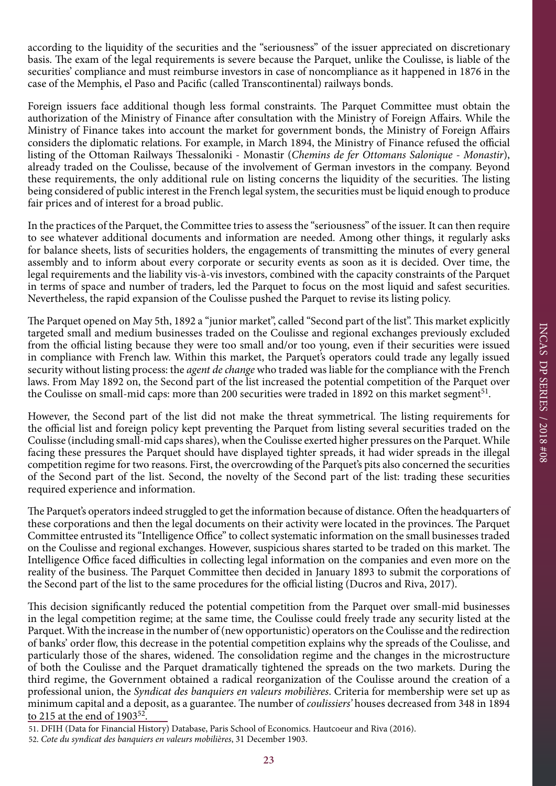according to the liquidity of the securities and the "seriousness" of the issuer appreciated on discretionary basis. The exam of the legal requirements is severe because the Parquet, unlike the Coulisse, is liable of the securities' compliance and must reimburse investors in case of noncompliance as it happened in 1876 in the case of the Memphis, el Paso and Pacific (called Transcontinental) railways bonds.

Foreign issuers face additional though less formal constraints. The Parquet Committee must obtain the authorization of the Ministry of Finance after consultation with the Ministry of Foreign Affairs. While the Ministry of Finance takes into account the market for government bonds, the Ministry of Foreign Affairs considers the diplomatic relations. For example, in March 1894, the Ministry of Finance refused the official listing of the Ottoman Railways Thessaloniki - Monastir (*Chemins de fer Ottomans Salonique - Monastir*), already traded on the Coulisse, because of the involvement of German investors in the company. Beyond these requirements, the only additional rule on listing concerns the liquidity of the securities. The listing being considered of public interest in the French legal system, the securities must be liquid enough to produce fair prices and of interest for a broad public.

In the practices of the Parquet, the Committee tries to assess the "seriousness" of the issuer. It can then require to see whatever additional documents and information are needed. Among other things, it regularly asks for balance sheets, lists of securities holders, the engagements of transmitting the minutes of every general assembly and to inform about every corporate or security events as soon as it is decided. Over time, the legal requirements and the liability vis-à-vis investors, combined with the capacity constraints of the Parquet in terms of space and number of traders, led the Parquet to focus on the most liquid and safest securities. Nevertheless, the rapid expansion of the Coulisse pushed the Parquet to revise its listing policy.

The Parquet opened on May 5th, 1892 a "junior market", called "Second part of the list". This market explicitly targeted small and medium businesses traded on the Coulisse and regional exchanges previously excluded from the official listing because they were too small and/or too young, even if their securities were issued in compliance with French law. Within this market, the Parquet's operators could trade any legally issued security without listing process: the *agent de change* who traded was liable for the compliance with the French laws. From May 1892 on, the Second part of the list increased the potential competition of the Parquet over the Coulisse on small-mid caps: more than 200 securities were traded in 1892 on this market segment<sup>51</sup>.

However, the Second part of the list did not make the threat symmetrical. The listing requirements for the official list and foreign policy kept preventing the Parquet from listing several securities traded on the Coulisse (including small-mid caps shares), when the Coulisse exerted higher pressures on the Parquet. While facing these pressures the Parquet should have displayed tighter spreads, it had wider spreads in the illegal competition regime for two reasons. First, the overcrowding of the Parquet's pits also concerned the securities of the Second part of the list. Second, the novelty of the Second part of the list: trading these securities required experience and information.

The Parquet's operators indeed struggled to get the information because of distance. Often the headquarters of these corporations and then the legal documents on their activity were located in the provinces. The Parquet Committee entrusted its "Intelligence Office" to collect systematic information on the small businesses traded on the Coulisse and regional exchanges. However, suspicious shares started to be traded on this market. The Intelligence Office faced difficulties in collecting legal information on the companies and even more on the reality of the business. The Parquet Committee then decided in January 1893 to submit the corporations of the Second part of the list to the same procedures for the official listing (Ducros and Riva, 2017).

This decision significantly reduced the potential competition from the Parquet over small-mid businesses in the legal competition regime; at the same time, the Coulisse could freely trade any security listed at the Parquet. With the increase in the number of (new opportunistic) operators on the Coulisse and the redirection of banks' order flow, this decrease in the potential competition explains why the spreads of the Coulisse, and particularly those of the shares, widened. The consolidation regime and the changes in the microstructure of both the Coulisse and the Parquet dramatically tightened the spreads on the two markets. During the third regime, the Government obtained a radical reorganization of the Coulisse around the creation of a professional union, the *Syndicat des banquiers en valeurs mobilières*. Criteria for membership were set up as minimum capital and a deposit, as a guarantee. The number of *coulissiers'* houses decreased from 348 in 1894 to 215 at the end of 1903<sup>52</sup>.

<sup>51.</sup> DFIH (Data for Financial History) Database, Paris School of Economics. Hautcoeur and Riva (2016).

<sup>52.</sup> *Cote du syndicat des banquiers en valeurs mobilières*, 31 December 1903.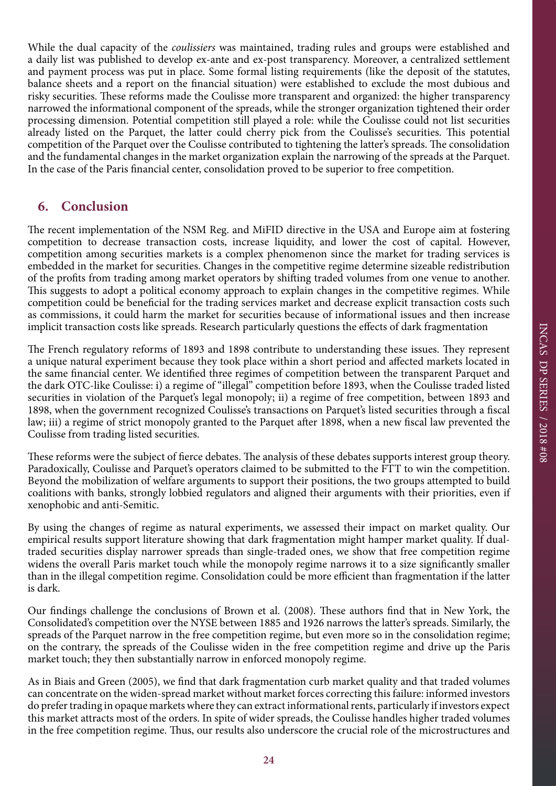While the dual capacity of the *coulissiers* was maintained, trading rules and groups were established and a daily list was published to develop ex-ante and ex-post transparency. Moreover, a centralized settlement and payment process was put in place. Some formal listing requirements (like the deposit of the statutes, balance sheets and a report on the financial situation) were established to exclude the most dubious and risky securities. These reforms made the Coulisse more transparent and organized: the higher transparency narrowed the informational component of the spreads, while the stronger organization tightened their order processing dimension. Potential competition still played a role: while the Coulisse could not list securities already listed on the Parquet, the latter could cherry pick from the Coulisse's securities. This potential competition of the Parquet over the Coulisse contributed to tightening the latter's spreads. The consolidation and the fundamental changes in the market organization explain the narrowing of the spreads at the Parquet. In the case of the Paris financial center, consolidation proved to be superior to free competition.

# **6. Conclusion**

The recent implementation of the NSM Reg. and MiFID directive in the USA and Europe aim at fostering competition to decrease transaction costs, increase liquidity, and lower the cost of capital. However, competition among securities markets is a complex phenomenon since the market for trading services is embedded in the market for securities. Changes in the competitive regime determine sizeable redistribution of the profits from trading among market operators by shifting traded volumes from one venue to another. This suggests to adopt a political economy approach to explain changes in the competitive regimes. While competition could be beneficial for the trading services market and decrease explicit transaction costs such as commissions, it could harm the market for securities because of informational issues and then increase implicit transaction costs like spreads. Research particularly questions the effects of dark fragmentation

The French regulatory reforms of 1893 and 1898 contribute to understanding these issues. They represent a unique natural experiment because they took place within a short period and affected markets located in the same financial center. We identified three regimes of competition between the transparent Parquet and the dark OTC-like Coulisse: i) a regime of "illegal" competition before 1893, when the Coulisse traded listed securities in violation of the Parquet's legal monopoly; ii) a regime of free competition, between 1893 and 1898, when the government recognized Coulisse's transactions on Parquet's listed securities through a fiscal law; iii) a regime of strict monopoly granted to the Parquet after 1898, when a new fiscal law prevented the Coulisse from trading listed securities.

These reforms were the subject of fierce debates. The analysis of these debates supports interest group theory. Paradoxically, Coulisse and Parquet's operators claimed to be submitted to the FTT to win the competition. Beyond the mobilization of welfare arguments to support their positions, the two groups attempted to build coalitions with banks, strongly lobbied regulators and aligned their arguments with their priorities, even if xenophobic and anti-Semitic.

By using the changes of regime as natural experiments, we assessed their impact on market quality. Our empirical results support literature showing that dark fragmentation might hamper market quality. If dualtraded securities display narrower spreads than single-traded ones, we show that free competition regime widens the overall Paris market touch while the monopoly regime narrows it to a size significantly smaller than in the illegal competition regime. Consolidation could be more efficient than fragmentation if the latter is dark.

Our findings challenge the conclusions of Brown et al. (2008). These authors find that in New York, the Consolidated's competition over the NYSE between 1885 and 1926 narrows the latter's spreads. Similarly, the spreads of the Parquet narrow in the free competition regime, but even more so in the consolidation regime; on the contrary, the spreads of the Coulisse widen in the free competition regime and drive up the Paris market touch; they then substantially narrow in enforced monopoly regime.

As in Biais and Green (2005), we find that dark fragmentation curb market quality and that traded volumes can concentrate on the widen-spread market without market forces correcting this failure: informed investors do prefer trading in opaque markets where they can extract informational rents, particularly if investors expect this market attracts most of the orders. In spite of wider spreads, the Coulisse handles higher traded volumes in the free competition regime. Thus, our results also underscore the crucial role of the microstructures and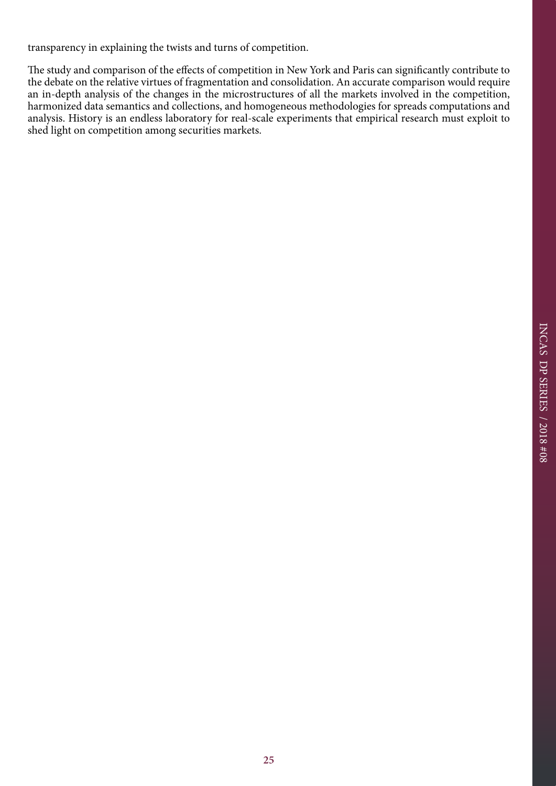transparency in explaining the twists and turns of competition.

The study and comparison of the effects of competition in New York and Paris can significantly contribute to the debate on the relative virtues of fragmentation and consolidation. An accurate comparison would require an in-depth analysis of the changes in the microstructures of all the markets involved in the competition, harmonized data semantics and collections, and homogeneous methodologies for spreads computations and analysis. History is an endless laboratory for real-scale experiments that empirical research must exploit to shed light on competition among securities markets.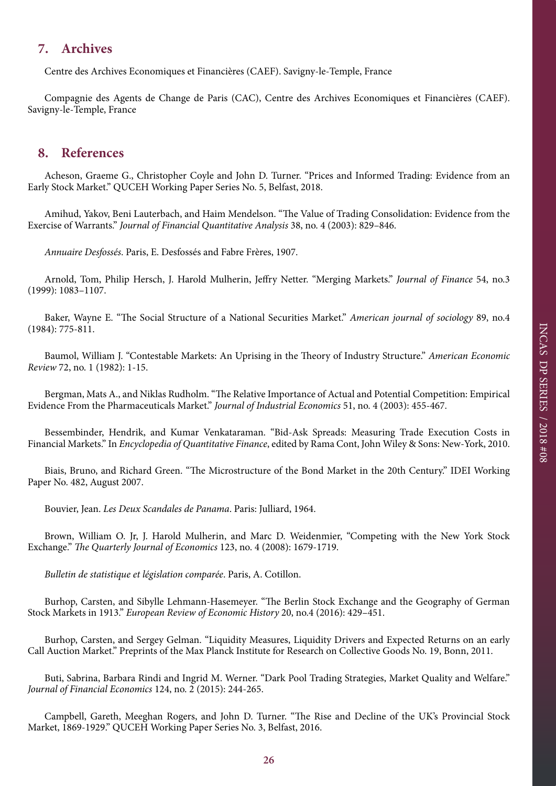# **7. Archives**

Centre des Archives Economiques et Financières (CAEF). Savigny-le-Temple, France

Compagnie des Agents de Change de Paris (CAC), Centre des Archives Economiques et Financières (CAEF). Savigny-le-Temple, France

## **8. References**

Acheson, Graeme G., Christopher Coyle and John D. Turner. "Prices and Informed Trading: Evidence from an Early Stock Market." QUCEH Working Paper Series No. 5, Belfast, 2018.

Amihud, Yakov, Beni Lauterbach, and Haim Mendelson. "The Value of Trading Consolidation: Evidence from the Exercise of Warrants." *Journal of Financial Quantitative Analysis* 38, no. 4 (2003): 829–846.

*Annuaire Desfossés*. Paris, E. Desfossés and Fabre Frères, 1907.

Arnold, Tom, Philip Hersch, J. Harold Mulherin, Jeffry Netter. "Merging Markets." *Journal of Finance* 54, no.3 (1999): 1083–1107.

Baker, Wayne E. "The Social Structure of a National Securities Market." *American journal of sociology* 89, no.4 (1984): 775-811.

Baumol, William J. "Contestable Markets: An Uprising in the Theory of Industry Structure." *American Economic Review* 72, no. 1 (1982): 1-15.

Bergman, Mats A., and Niklas Rudholm. "The Relative Importance of Actual and Potential Competition: Empirical Evidence From the Pharmaceuticals Market." *Journal of Industrial Economics* 51, no. 4 (2003): 455-467.

Bessembinder, Hendrik, and Kumar Venkataraman. "Bid-Ask Spreads: Measuring Trade Execution Costs in Financial Markets." In *Encyclopedia of Quantitative Finance*, edited by Rama Cont, John Wiley & Sons: New-York, 2010.

Biais, Bruno, and Richard Green. "The Microstructure of the Bond Market in the 20th Century." IDEI Working Paper No. 482, August 2007.

Bouvier, Jean. *Les Deux Scandales de Panama*. Paris: Julliard, 1964.

Brown, William O. Jr, J. Harold Mulherin, and Marc D. Weidenmier, "Competing with the New York Stock Exchange." *The Quarterly Journal of Economics* 123, no. 4 (2008): 1679-1719.

*Bulletin de statistique et législation comparée*. Paris, A. Cotillon.

Burhop, Carsten, and Sibylle Lehmann-Hasemeyer. "The Berlin Stock Exchange and the Geography of German Stock Markets in 1913." *European Review of Economic History* 20, no.4 (2016): 429–451.

Burhop, Carsten, and Sergey Gelman. "Liquidity Measures, Liquidity Drivers and Expected Returns on an early Call Auction Market." Preprints of the Max Planck Institute for Research on Collective Goods No. 19, Bonn, 2011.

Buti, Sabrina, Barbara Rindi and Ingrid M. Werner. "Dark Pool Trading Strategies, Market Quality and Welfare." *Journal of Financial Economics* 124, no. 2 (2015): 244-265.

Campbell, Gareth, Meeghan Rogers, and John D. Turner. "The Rise and Decline of the UK's Provincial Stock Market, 1869-1929." QUCEH Working Paper Series No. 3, Belfast, 2016.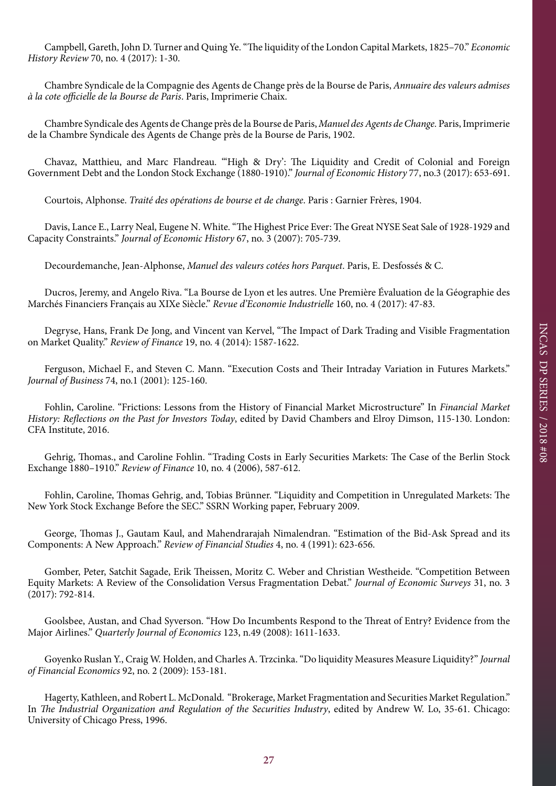Campbell, Gareth, John D. Turner and Quing Ye. "The liquidity of the London Capital Markets, 1825–70." *Economic History Review* 70, no. 4 (2017): 1-30.

Chambre Syndicale de la Compagnie des Agents de Change près de la Bourse de Paris, *Annuaire des valeurs admises à la cote officielle de la Bourse de Paris*. Paris, Imprimerie Chaix.

Chambre Syndicale des Agents de Change près de la Bourse de Paris, *Manuel des Agents de Change.* Paris, Imprimerie de la Chambre Syndicale des Agents de Change près de la Bourse de Paris, 1902.

Chavaz, Matthieu, and Marc Flandreau. "'High & Dry': The Liquidity and Credit of Colonial and Foreign Government Debt and the London Stock Exchange (1880-1910)." *Journal of Economic History* 77, no.3 (2017): 653-691.

Courtois, Alphonse. *Traité des opérations de bourse et de change*. Paris : Garnier Frères, 1904.

Davis, Lance E., Larry Neal, Eugene N. White. "The Highest Price Ever: The Great NYSE Seat Sale of 1928-1929 and Capacity Constraints." *Journal of Economic History* 67, no. 3 (2007): 705-739.

Decourdemanche, Jean-Alphonse, *Manuel des valeurs cotées hors Parquet*. Paris, E. Desfossés & C.

Ducros, Jeremy, and Angelo Riva. "La Bourse de Lyon et les autres. Une Première Évaluation de la Géographie des Marchés Financiers Français au XIXe Siècle." *Revue d'Economie Industrielle* 160, no. 4 (2017): 47-83.

Degryse, Hans, Frank De Jong, and Vincent van Kervel, "The Impact of Dark Trading and Visible Fragmentation on Market Quality." *Review of Finance* 19, no. 4 (2014): 1587-1622.

Ferguson, Michael F., and Steven C. Mann. "Execution Costs and Their Intraday Variation in Futures Markets." *Journal of Business* 74, no.1 (2001): 125-160.

Fohlin, Caroline. "Frictions: Lessons from the History of Financial Market Microstructure" In *Financial Market History: Reflections on the Past for Investors Today*, edited by David Chambers and Elroy Dimson, 115-130. London: CFA Institute, 2016.

Gehrig, Thomas., and Caroline Fohlin. "Trading Costs in Early Securities Markets: The Case of the Berlin Stock Exchange 1880–1910." *Review of Finance* 10, no. 4 (2006), 587-612.

Fohlin, Caroline, Thomas Gehrig, and, Tobias Brünner. "Liquidity and Competition in Unregulated Markets: The New York Stock Exchange Before the SEC." SSRN Working paper, February 2009.

George, Thomas J., Gautam Kaul, and Mahendrarajah Nimalendran. "Estimation of the Bid-Ask Spread and its Components: A New Approach." *Review of Financial Studies* 4, no. 4 (1991): 623-656.

Gomber, Peter, Satchit Sagade, Erik Theissen, Moritz C. Weber and Christian Westheide. "Competition Between Equity Markets: A Review of the Consolidation Versus Fragmentation Debat." *Journal of Economic Surveys* 31, no. 3 (2017): 792-814.

Goolsbee, Austan, and Chad Syverson. "How Do Incumbents Respond to the Threat of Entry? Evidence from the Major Airlines." *Quarterly Journal of Economics* 123, n.49 (2008): 1611-1633.

Goyenko Ruslan Y., Craig W. Holden, and Charles A. Trzcinka. "Do liquidity Measures Measure Liquidity?" *Journal of Financial Economics* 92, no. 2 (2009): 153-181.

Hagerty, Kathleen, and Robert L. McDonald. "Brokerage, Market Fragmentation and Securities Market Regulation." In *The Industrial Organization and Regulation of the Securities Industry*, edited by Andrew W. Lo, 35-61. Chicago: University of Chicago Press, 1996.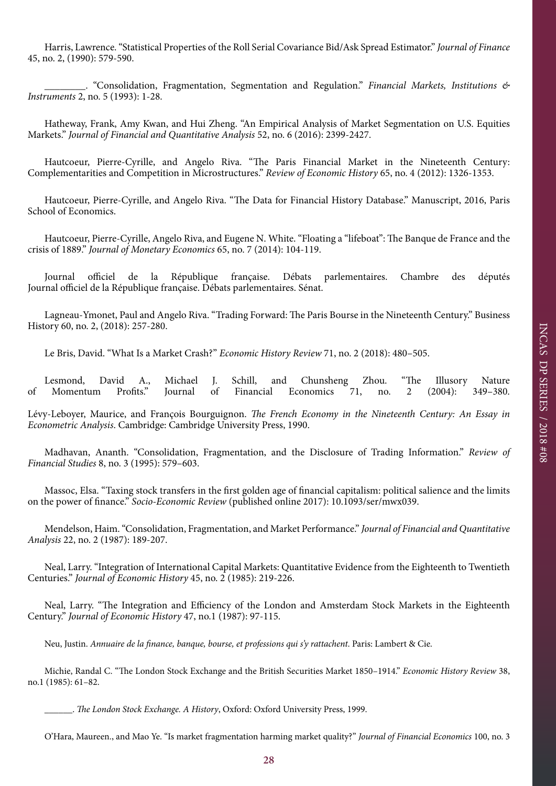Harris, Lawrence. "Statistical Properties of the Roll Serial Covariance Bid/Ask Spread Estimator." *Journal of Finance* 45, no. 2, (1990): 579-590.

\_\_\_\_\_\_\_\_. "Consolidation, Fragmentation, Segmentation and Regulation." *Financial Markets, Institutions & Instruments* 2, no. 5 (1993): 1-28.

Hatheway, Frank, Amy Kwan, and Hui Zheng. "An Empirical Analysis of Market Segmentation on U.S. Equities Markets." *Journal of Financial and Quantitative Analysis* 52, no. 6 (2016): 2399-2427.

Hautcoeur, Pierre-Cyrille, and Angelo Riva. "The Paris Financial Market in the Nineteenth Century: Complementarities and Competition in Microstructures." *Review of Economic History* 65, no. 4 (2012): 1326-1353.

Hautcoeur, Pierre-Cyrille, and Angelo Riva. "The Data for Financial History Database." Manuscript, 2016, Paris School of Economics.

Hautcoeur, Pierre-Cyrille, Angelo Riva, and Eugene N. White. "Floating a "lifeboat": The Banque de France and the crisis of 1889." *Journal of Monetary Economics* 65, no. 7 (2014): 104-119.

Journal officiel de la République française. Débats parlementaires. Chambre des députés Journal officiel de la République française. Débats parlementaires. Sénat.

Lagneau-Ymonet, Paul and Angelo Riva. "Trading Forward: The Paris Bourse in the Nineteenth Century." Business History 60, no. 2, (2018): 257-280.

Le Bris, David. "What Is a Market Crash?" *Economic History Review* 71, no. 2 (2018): 480–505.

Lesmond, David A., Michael J. Schill, and Chunsheng Zhou. "The Illusory Nature of Momentum Profits." Journal of Financial Economics 71, no. 2 (2004): 349–380.

Lévy-Leboyer, Maurice, and François Bourguignon. *The French Economy in the Nineteenth Century: An Essay in Econometric Analysis*. Cambridge: Cambridge University Press, 1990.

Madhavan, Ananth. "Consolidation, Fragmentation, and the Disclosure of Trading Information." *Review of Financial Studies* 8, no. 3 (1995): 579–603.

Massoc, Elsa. "Taxing stock transfers in the first golden age of financial capitalism: political salience and the limits on the power of finance." *Socio-Economic Review* (published online 2017): 10.1093/ser/mwx039.

Mendelson, Haim. "Consolidation, Fragmentation, and Market Performance." *Journal of Financial and Quantitative Analysis* 22, no. 2 (1987): 189-207.

Neal, Larry. "Integration of International Capital Markets: Quantitative Evidence from the Eighteenth to Twentieth Centuries." *Journal of Economic History* 45, no. 2 (1985): 219-226.

Neal, Larry. "The Integration and Efficiency of the London and Amsterdam Stock Markets in the Eighteenth Century." *Journal of Economic History* 47, no.1 (1987): 97-115.

Neu, Justin. *Annuaire de la finance, banque, bourse, et professions qui s'y rattachent*. Paris: Lambert & Cie.

Michie, Randal C. "The London Stock Exchange and the British Securities Market 1850–1914." *Economic History Review* 38, no.1 (1985): 61–82.

\_\_\_\_\_\_. *The London Stock Exchange. A History*, Oxford: Oxford University Press, 1999.

O'Hara, Maureen., and Mao Ye. "Is market fragmentation harming market quality?" *Journal of Financial Economics* 100, no. 3